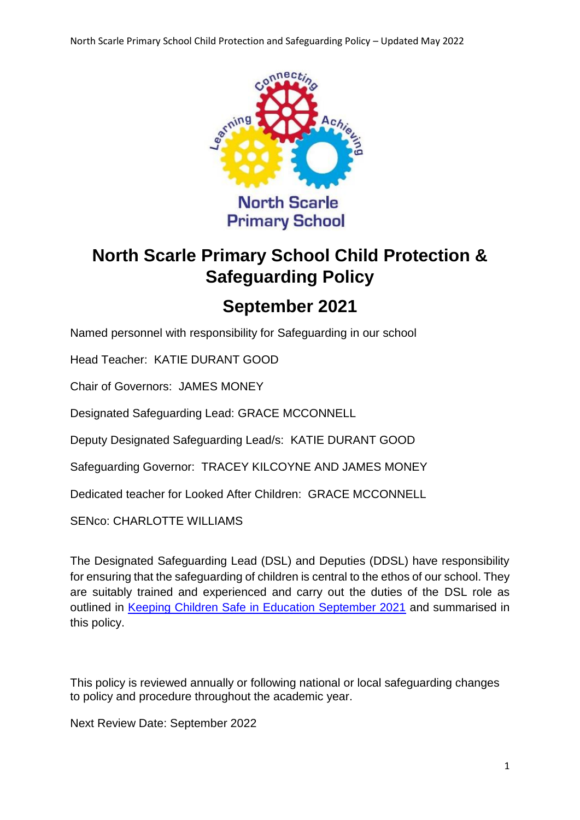

**Primary School** 

# **North Scarle Primary School Child Protection & Safeguarding Policy**

# **September 2021**

Named personnel with responsibility for Safeguarding in our school

Head Teacher: KATIE DURANT GOOD

Chair of Governors: JAMES MONEY

Designated Safeguarding Lead: GRACE MCCONNELL

Deputy Designated Safeguarding Lead/s: KATIE DURANT GOOD

Safeguarding Governor: TRACEY KILCOYNE AND JAMES MONEY

Dedicated teacher for Looked After Children: GRACE MCCONNELL

SENco: CHARLOTTE WILLIAMS

The Designated Safeguarding Lead (DSL) and Deputies (DDSL) have responsibility for ensuring that the safeguarding of children is central to the ethos of our school. They are suitably trained and experienced and carry out the duties of the DSL role as outlined in [Keeping Children Safe in Education September 2021](https://www.gov.uk/government/publications/keeping-children-safe-in-education--2) and summarised in this policy.

This policy is reviewed annually or following national or local safeguarding changes to policy and procedure throughout the academic year.

Next Review Date: September 2022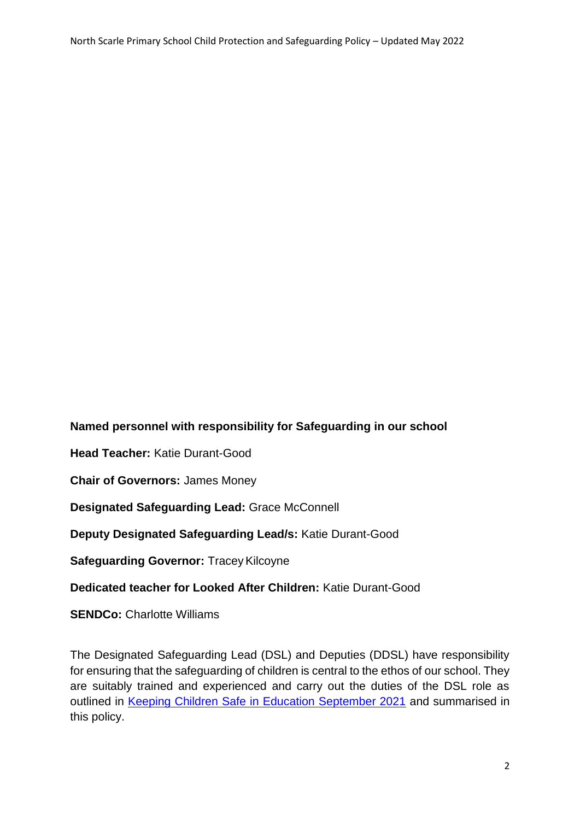#### **Named personnel with responsibility for Safeguarding in our school**

**Head Teacher:** Katie Durant-Good

**Chair of Governors:** James Money

**Designated Safeguarding Lead:** Grace McConnell

**Deputy Designated Safeguarding Lead/s:** Katie Durant-Good

**Safeguarding Governor: Tracey Kilcoyne** 

#### **Dedicated teacher for Looked After Children:** Katie Durant-Good

**SENDCo:** Charlotte Williams

The Designated Safeguarding Lead (DSL) and Deputies (DDSL) have responsibility for ensuring that the safeguarding of children is central to the ethos of our school. They are suitably trained and experienced and carry out the duties of the DSL role as outlined in [Keeping Children Safe in Education September 2021](https://www.gov.uk/government/publications/keeping-children-safe-in-education--2) and summarised in this policy.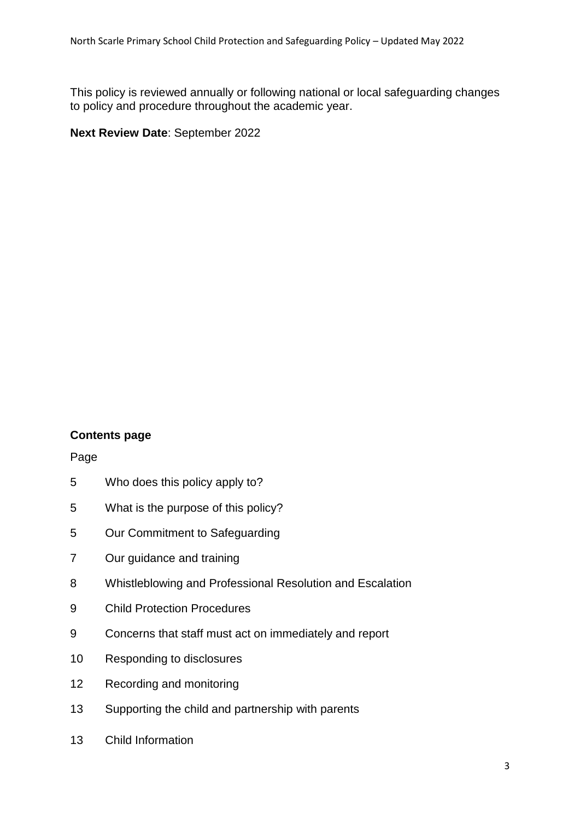This policy is reviewed annually or following national or local safeguarding changes to policy and procedure throughout the academic year.

#### **Next Review Date**: September 2022

### **Contents page**

Page

- Who does this policy apply to?
- What is the purpose of this policy?
- Our Commitment to Safeguarding
- Our guidance and training
- Whistleblowing and Professional Resolution and Escalation
- Child Protection Procedures
- Concerns that staff must act on immediately and report
- Responding to disclosures
- Recording and monitoring
- Supporting the child and partnership with parents
- Child Information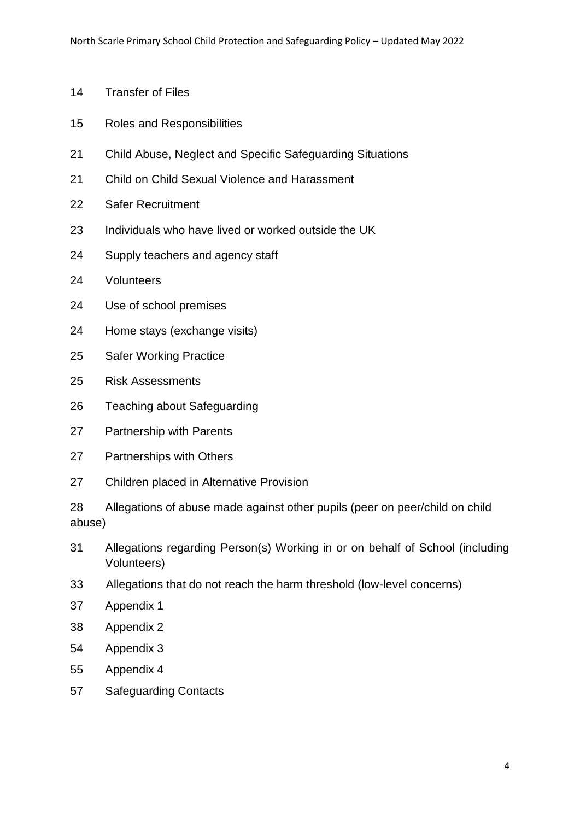- Transfer of Files
- Roles and Responsibilities
- Child Abuse, Neglect and Specific Safeguarding Situations
- Child on Child Sexual Violence and Harassment
- Safer Recruitment
- Individuals who have lived or worked outside the UK
- Supply teachers and agency staff
- Volunteers
- Use of school premises
- Home stays (exchange visits)
- Safer Working Practice
- Risk Assessments
- Teaching about Safeguarding
- 27 Partnership with Parents
- Partnerships with Others
- Children placed in Alternative Provision

28 Allegations of abuse made against other pupils (peer on peer/child on child abuse)

- Allegations regarding Person(s) Working in or on behalf of School (including Volunteers)
- 33 Allegations that do not reach the harm threshold (low-level concerns)
- Appendix 1
- Appendix 2
- Appendix 3
- Appendix 4
- Safeguarding Contacts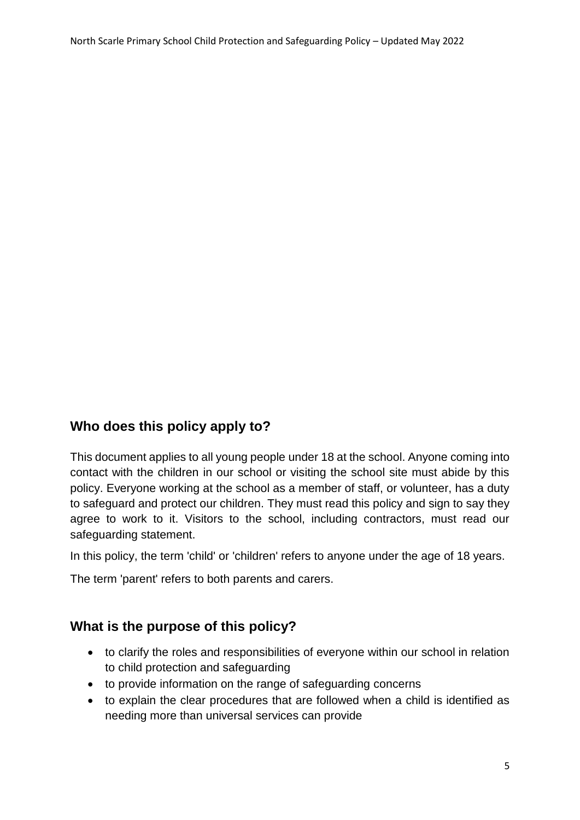### **Who does this policy apply to?**

This document applies to all young people under 18 at the school. Anyone coming into contact with the children in our school or visiting the school site must abide by this policy. Everyone working at the school as a member of staff, or volunteer, has a duty to safeguard and protect our children. They must read this policy and sign to say they agree to work to it. Visitors to the school, including contractors, must read our safeguarding statement.

In this policy, the term 'child' or 'children' refers to anyone under the age of 18 years.

The term 'parent' refers to both parents and carers.

### **What is the purpose of this policy?**

- to clarify the roles and responsibilities of everyone within our school in relation to child protection and safeguarding
- to provide information on the range of safeguarding concerns
- to explain the clear procedures that are followed when a child is identified as needing more than universal services can provide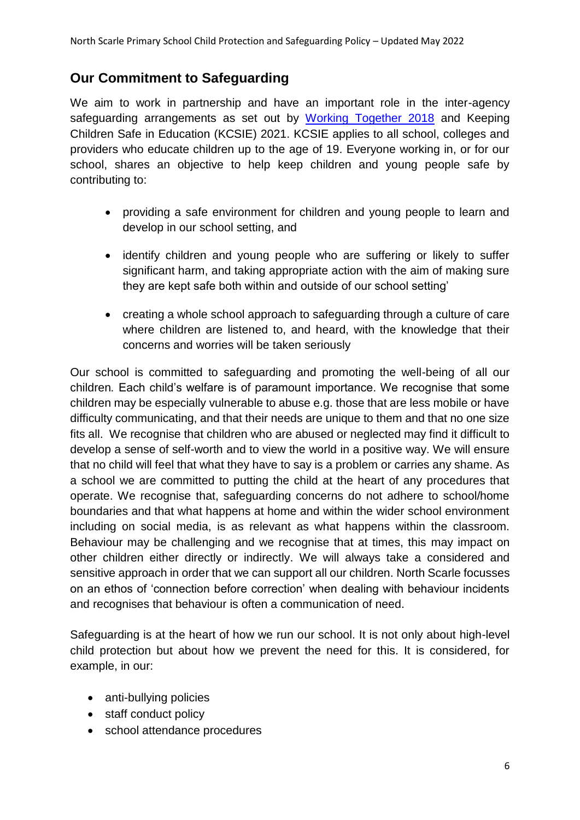# **Our Commitment to Safeguarding**

We aim to work in partnership and have an important role in the inter-agency safeguarding arrangements as set out by [Working Together 2018](https://www.gov.uk/government/publications/working-together-to-safeguard-children--2) and Keeping Children Safe in Education (KCSIE) 2021. KCSIE applies to all school, colleges and providers who educate children up to the age of 19. Everyone working in, or for our school, shares an objective to help keep children and young people safe by contributing to:

- providing a safe environment for children and young people to learn and develop in our school setting, and
- identify children and young people who are suffering or likely to suffer significant harm, and taking appropriate action with the aim of making sure they are kept safe both within and outside of our school setting'
- creating a whole school approach to safeguarding through a culture of care where children are listened to, and heard, with the knowledge that their concerns and worries will be taken seriously

Our school is committed to safeguarding and promoting the well-being of all our children*.* Each child's welfare is of paramount importance. We recognise that some children may be especially vulnerable to abuse e.g. those that are less mobile or have difficulty communicating, and that their needs are unique to them and that no one size fits all. We recognise that children who are abused or neglected may find it difficult to develop a sense of self-worth and to view the world in a positive way. We will ensure that no child will feel that what they have to say is a problem or carries any shame. As a school we are committed to putting the child at the heart of any procedures that operate. We recognise that, safeguarding concerns do not adhere to school/home boundaries and that what happens at home and within the wider school environment including on social media, is as relevant as what happens within the classroom. Behaviour may be challenging and we recognise that at times, this may impact on other children either directly or indirectly. We will always take a considered and sensitive approach in order that we can support all our children. North Scarle focusses on an ethos of 'connection before correction' when dealing with behaviour incidents and recognises that behaviour is often a communication of need.

Safeguarding is at the heart of how we run our school. It is not only about high-level child protection but about how we prevent the need for this. It is considered, for example, in our:

- anti-bullying policies
- staff conduct policy
- school attendance procedures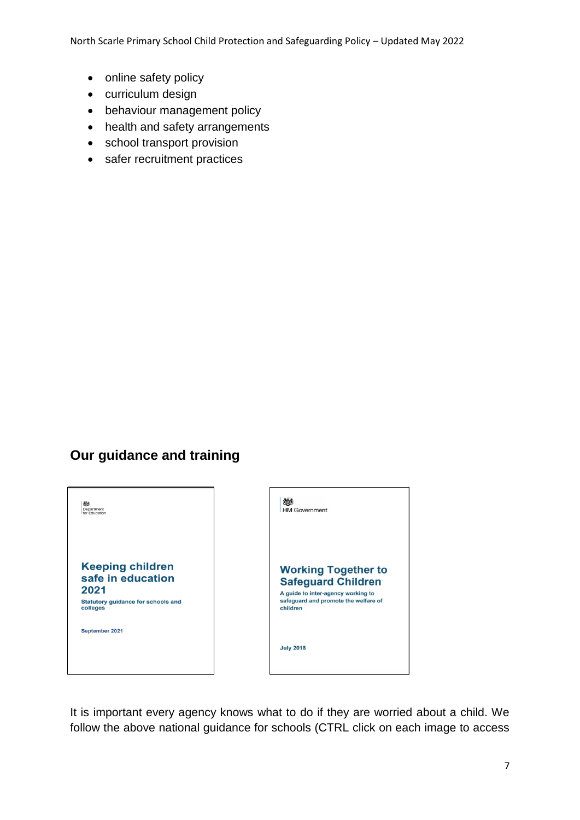North Scarle Primary School Child Protection and Safeguarding Policy – Updated May 2022

- online safety policy
- curriculum design
- behaviour management policy
- health and safety arrangements
- school transport provision
- safer recruitment practices

# **Our guidance and training**

| 戀<br>Department<br>for Education                                                                              | 獭<br><b>HM Government</b>                                                                                                                         |
|---------------------------------------------------------------------------------------------------------------|---------------------------------------------------------------------------------------------------------------------------------------------------|
| <b>Keeping children</b><br>safe in education<br>2021<br><b>Statutory guidance for schools and</b><br>colleges | <b>Working Together to</b><br><b>Safeguard Children</b><br>A guide to inter-agency working to<br>safeguard and promote the welfare of<br>children |
| September 2021                                                                                                | <b>July 2018</b>                                                                                                                                  |
|                                                                                                               |                                                                                                                                                   |

It is important every agency knows what to do if they are worried about a child. We follow the above national guidance for schools (CTRL click on each image to access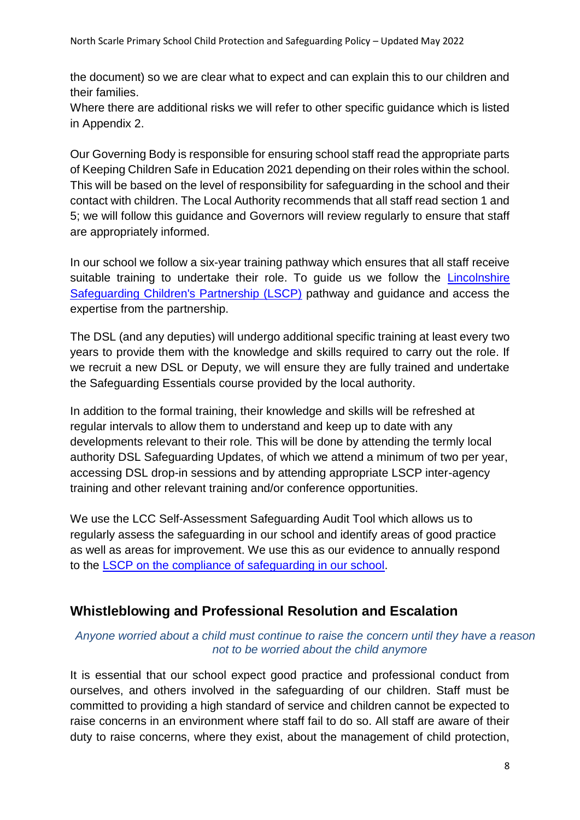the document) so we are clear what to expect and can explain this to our children and their families.

Where there are additional risks we will refer to other specific guidance which is listed in Appendix 2.

Our Governing Body is responsible for ensuring school staff read the appropriate parts of Keeping Children Safe in Education 2021 depending on their roles within the school. This will be based on the level of responsibility for safeguarding in the school and their contact with children. The Local Authority recommends that all staff read section 1 and 5; we will follow this guidance and Governors will review regularly to ensure that staff are appropriately informed.

In our school we follow a six-year training pathway which ensures that all staff receive suitable training to undertake their role. To quide us we follow the Lincolnshire [Safeguarding Children's Partnership \(LSCP\)](https://www.lincolnshire.gov.uk/safeguarding/lscp) pathway and guidance and access the expertise from the partnership.

The DSL (and any deputies) will undergo additional specific training at least every two years to provide them with the knowledge and skills required to carry out the role. If we recruit a new DSL or Deputy, we will ensure they are fully trained and undertake the Safeguarding Essentials course provided by the local authority.

In addition to the formal training, their knowledge and skills will be refreshed at regular intervals to allow them to understand and keep up to date with any developments relevant to their role*.* This will be done by attending the termly local authority DSL Safeguarding Updates, of which we attend a minimum of two per year, accessing DSL drop-in sessions and by attending appropriate LSCP inter-agency training and other relevant training and/or conference opportunities.

We use the LCC Self-Assessment Safeguarding Audit Tool which allows us to regularly assess the safeguarding in our school and identify areas of good practice as well as areas for improvement. We use this as our evidence to annually respond to the [LSCP on the compliance of safeguarding in our school.](https://lincolnshirescb.proceduresonline.com/pdfs/lscp_sch_sg_checklist.pdf)

### **Whistleblowing and Professional Resolution and Escalation**

#### *Anyone worried about a child must continue to raise the concern until they have a reason not to be worried about the child anymore*

It is essential that our school expect good practice and professional conduct from ourselves, and others involved in the safeguarding of our children. Staff must be committed to providing a high standard of service and children cannot be expected to raise concerns in an environment where staff fail to do so. All staff are aware of their duty to raise concerns, where they exist, about the management of child protection,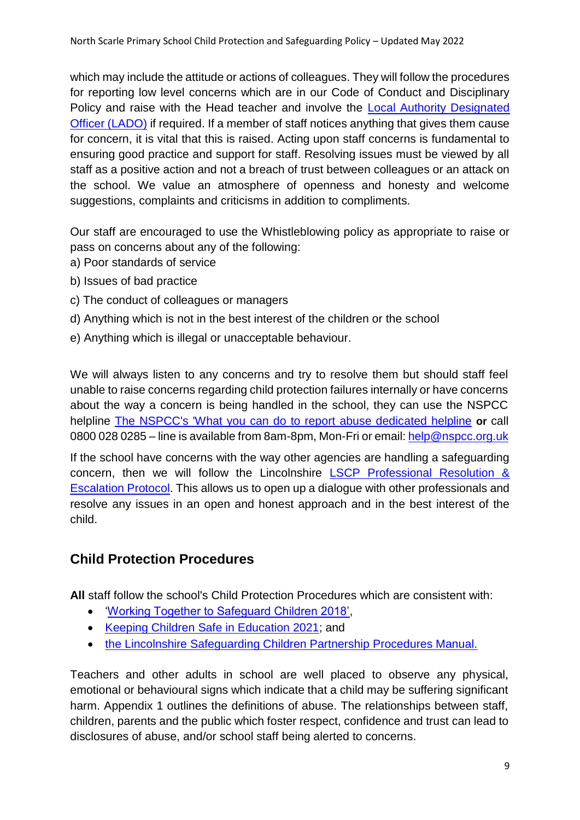which may include the attitude or actions of colleagues. They will follow the procedures for reporting low level concerns which are in our Code of Conduct and Disciplinary Policy and raise with the Head teacher and involve the [Local Authority Designated](https://www.lincolnshire.gov.uk/safeguarding/lscp/7)  [Officer \(LADO\)](https://www.lincolnshire.gov.uk/safeguarding/lscp/7) if required. If a member of staff notices anything that gives them cause for concern, it is vital that this is raised. Acting upon staff concerns is fundamental to ensuring good practice and support for staff. Resolving issues must be viewed by all staff as a positive action and not a breach of trust between colleagues or an attack on the school. We value an atmosphere of openness and honesty and welcome suggestions, complaints and criticisms in addition to compliments.

Our staff are encouraged to use the Whistleblowing policy as appropriate to raise or pass on concerns about any of the following:

- a) Poor standards of service
- b) Issues of bad practice
- c) The conduct of colleagues or managers
- d) Anything which is not in the best interest of the children or the school
- e) Anything which is illegal or unacceptable behaviour.

We will always listen to any concerns and try to resolve them but should staff feel unable to raise concerns regarding child protection failures internally or have concerns about the way a concern is being handled in the school, they can use the NSPCC helpline [The NSPCC's 'What you can do to report abuse dedicated helpline](https://www.nspcc.org.uk/what-you-can-do/report-abuse/dedicated-helplines/whistleblowing-advice-line/) **or** call 0800 028 0285 – line is available from 8am-8pm, Mon-Fri or email: [help@nspcc.org.uk](mailto:help@nspcc.org.uk)

If the school have concerns with the way other agencies are handling a safeguarding concern, then we will follow the Lincolnshire [LSCP Professional Resolution &](https://lincolnshirescb.proceduresonline.com/chapters/pr_prof_resolution.html)  [Escalation Protocol.](https://lincolnshirescb.proceduresonline.com/chapters/pr_prof_resolution.html) This allows us to open up a dialogue with other professionals and resolve any issues in an open and honest approach and in the best interest of the child.

# **Child Protection Procedures**

**All** staff follow the school's Child Protection Procedures which are consistent with:

- ['Working Together to Safeguard Children 2018',](https://www.gov.uk/government/publications/working-together-to-safeguard-children--2)
- [Keeping Children Safe in Education 2021;](https://www.gov.uk/government/publications/keeping-children-safe-in-education--2) and
- [the Lincolnshire Safeguarding Children Partnership Procedures Manual.](https://lincolnshirescb.proceduresonline.com/chapters/contents.html)

Teachers and other adults in school are well placed to observe any physical, emotional or behavioural signs which indicate that a child may be suffering significant harm. Appendix 1 outlines the definitions of abuse. The relationships between staff, children, parents and the public which foster respect, confidence and trust can lead to disclosures of abuse, and/or school staff being alerted to concerns.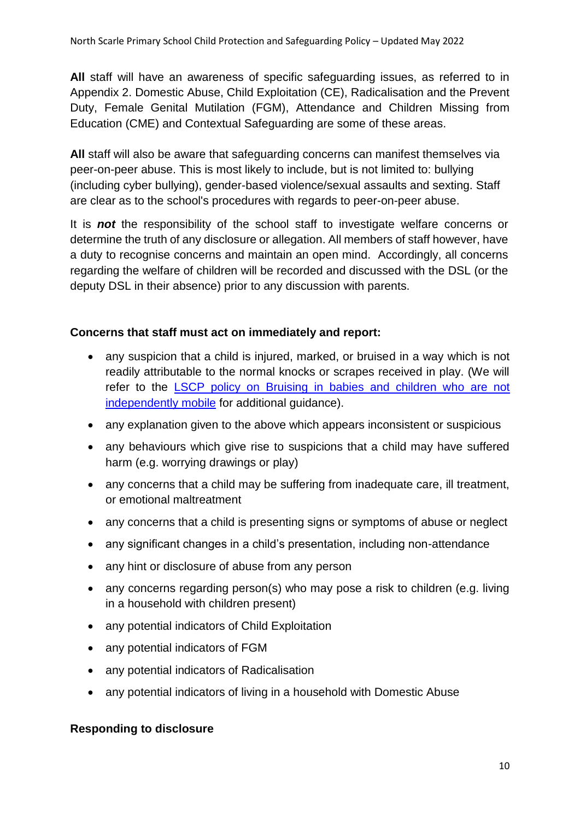**All** staff will have an awareness of specific safeguarding issues, as referred to in Appendix 2. Domestic Abuse, Child Exploitation (CE), Radicalisation and the Prevent Duty, Female Genital Mutilation (FGM), Attendance and Children Missing from Education (CME) and Contextual Safeguarding are some of these areas.

**All** staff will also be aware that safeguarding concerns can manifest themselves via peer-on-peer abuse. This is most likely to include, but is not limited to: bullying (including cyber bullying), gender-based violence/sexual assaults and sexting. Staff are clear as to the school's procedures with regards to peer-on-peer abuse.

It is *not* the responsibility of the school staff to investigate welfare concerns or determine the truth of any disclosure or allegation. All members of staff however, have a duty to recognise concerns and maintain an open mind. Accordingly, all concerns regarding the welfare of children will be recorded and discussed with the DSL (or the deputy DSL in their absence) prior to any discussion with parents.

### **Concerns that staff must act on immediately and report:**

- any suspicion that a child is injured, marked, or bruised in a way which is not readily attributable to the normal knocks or scrapes received in play. (We will refer to the [LSCP policy on Bruising in babies and children who are not](https://lincolnshirescb.proceduresonline.com/chapters/p_bruise_babies.html)  [independently mobile](https://lincolnshirescb.proceduresonline.com/chapters/p_bruise_babies.html) for additional guidance).
- any explanation given to the above which appears inconsistent or suspicious
- any behaviours which give rise to suspicions that a child may have suffered harm (e.g. worrying drawings or play)
- any concerns that a child may be suffering from inadequate care, ill treatment, or emotional maltreatment
- any concerns that a child is presenting signs or symptoms of abuse or neglect
- any significant changes in a child's presentation, including non-attendance
- any hint or disclosure of abuse from any person
- any concerns regarding person(s) who may pose a risk to children (e.g. living in a household with children present)
- any potential indicators of Child Exploitation
- any potential indicators of FGM
- any potential indicators of Radicalisation
- any potential indicators of living in a household with Domestic Abuse

#### **Responding to disclosure**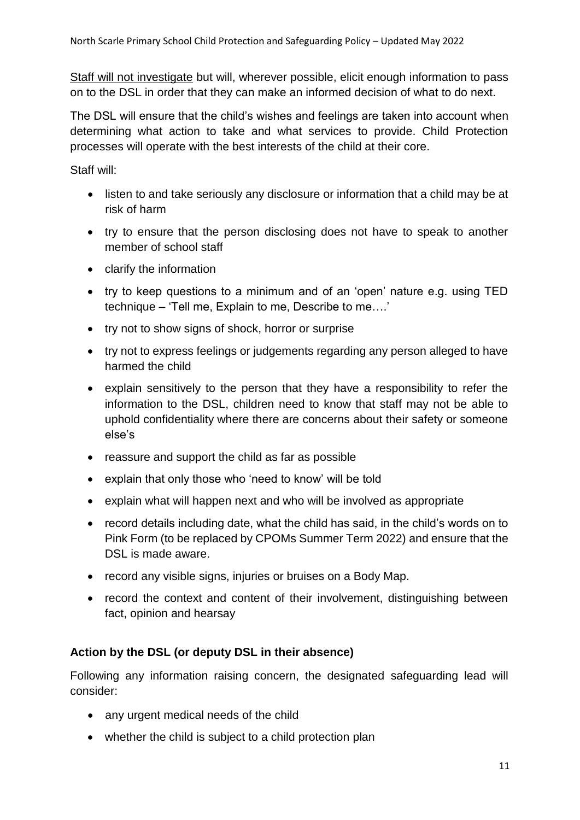Staff will not investigate but will, wherever possible, elicit enough information to pass on to the DSL in order that they can make an informed decision of what to do next.

The DSL will ensure that the child's wishes and feelings are taken into account when determining what action to take and what services to provide. Child Protection processes will operate with the best interests of the child at their core.

Staff will:

- listen to and take seriously any disclosure or information that a child may be at risk of harm
- try to ensure that the person disclosing does not have to speak to another member of school staff
- clarify the information
- try to keep questions to a minimum and of an 'open' nature e.g. using TED technique – 'Tell me, Explain to me, Describe to me….'
- try not to show signs of shock, horror or surprise
- try not to express feelings or judgements regarding any person alleged to have harmed the child
- explain sensitively to the person that they have a responsibility to refer the information to the DSL, children need to know that staff may not be able to uphold confidentiality where there are concerns about their safety or someone else's
- reassure and support the child as far as possible
- explain that only those who 'need to know' will be told
- explain what will happen next and who will be involved as appropriate
- record details including date, what the child has said, in the child's words on to Pink Form (to be replaced by CPOMs Summer Term 2022) and ensure that the DSL is made aware.
- record any visible signs, injuries or bruises on a Body Map.
- record the context and content of their involvement, distinguishing between fact, opinion and hearsay

### **Action by the DSL (or deputy DSL in their absence)**

Following any information raising concern, the designated safeguarding lead will consider:

- any urgent medical needs of the child
- whether the child is subject to a child protection plan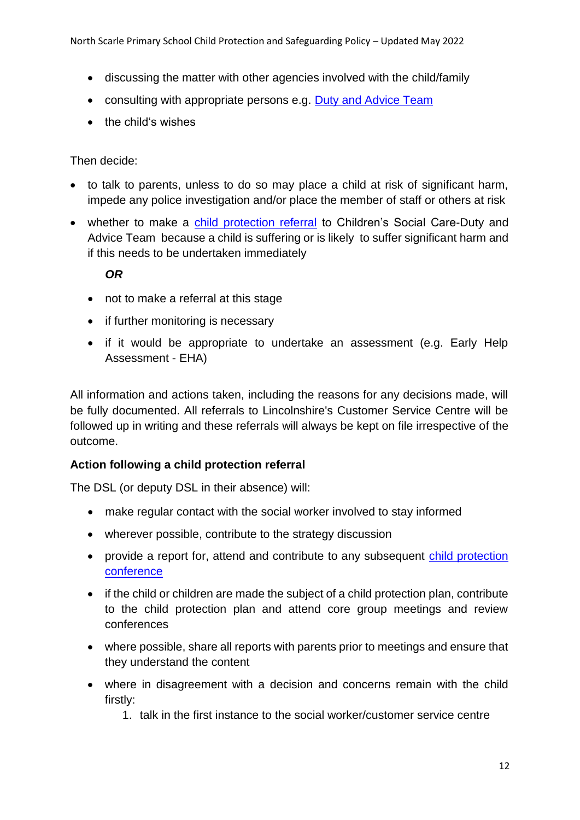- discussing the matter with other agencies involved with the child/family
- consulting with appropriate persons e.g. [Duty and Advice Team](https://www.lincolnshire.gov.uk/safeguarding/report-concern)
- the child's wishes

Then decide:

- to talk to parents, unless to do so may place a child at risk of significant harm, impede any police investigation and/or place the member of staff or others at risk
- whether to make a [child protection referral](https://www.lincolnshire.gov.uk/safeguarding/report-concern) to Children's Social Care-Duty and Advice Team because a child is suffering or is likely to suffer significant harm and if this needs to be undertaken immediately

*OR*

- not to make a referral at this stage
- if further monitoring is necessary
- if it would be appropriate to undertake an assessment (e.g. Early Help Assessment - EHA)

All information and actions taken, including the reasons for any decisions made, will be fully documented. All referrals to Lincolnshire's Customer Service Centre will be followed up in writing and these referrals will always be kept on file irrespective of the outcome.

### **Action following a child protection referral**

The DSL (or deputy DSL in their absence) will:

- make regular contact with the social worker involved to stay informed
- wherever possible, contribute to the strategy discussion
- provide a report for, attend and contribute to any subsequent child protection [conference](https://lincolnshirescb.proceduresonline.com/chapters/p_child_pro_rev_conf.html)
- if the child or children are made the subject of a child protection plan, contribute to the child protection plan and attend core group meetings and review conferences
- where possible, share all reports with parents prior to meetings and ensure that they understand the content
- where in disagreement with a decision and concerns remain with the child firstly:
	- 1. talk in the first instance to the social worker/customer service centre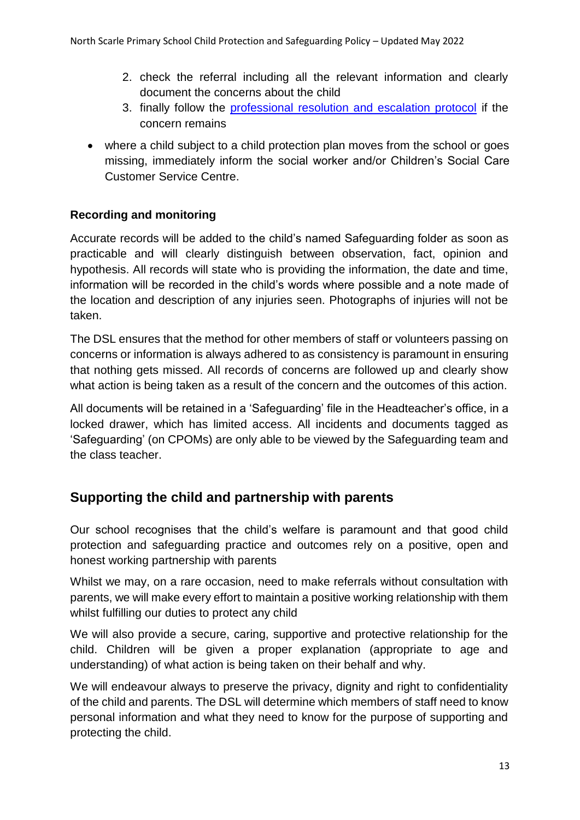- 2. check the referral including all the relevant information and clearly document the concerns about the child
- 3. finally follow the [professional resolution and escalation protocol](https://lincolnshirescb.proceduresonline.com/chapters/pr_prof_resolution.html) if the concern remains
- where a child subject to a child protection plan moves from the school or goes missing, immediately inform the social worker and/or Children's Social Care Customer Service Centre.

### **Recording and monitoring**

Accurate records will be added to the child's named Safeguarding folder as soon as practicable and will clearly distinguish between observation, fact, opinion and hypothesis. All records will state who is providing the information, the date and time, information will be recorded in the child's words where possible and a note made of the location and description of any injuries seen. Photographs of injuries will not be taken.

The DSL ensures that the method for other members of staff or volunteers passing on concerns or information is always adhered to as consistency is paramount in ensuring that nothing gets missed. All records of concerns are followed up and clearly show what action is being taken as a result of the concern and the outcomes of this action.

All documents will be retained in a 'Safeguarding' file in the Headteacher's office, in a locked drawer, which has limited access. All incidents and documents tagged as 'Safeguarding' (on CPOMs) are only able to be viewed by the Safeguarding team and the class teacher.

### **Supporting the child and partnership with parents**

Our school recognises that the child's welfare is paramount and that good child protection and safeguarding practice and outcomes rely on a positive, open and honest working partnership with parents

Whilst we may, on a rare occasion, need to make referrals without consultation with parents, we will make every effort to maintain a positive working relationship with them whilst fulfilling our duties to protect any child

We will also provide a secure, caring, supportive and protective relationship for the child. Children will be given a proper explanation (appropriate to age and understanding) of what action is being taken on their behalf and why.

We will endeavour always to preserve the privacy, dignity and right to confidentiality of the child and parents. The DSL will determine which members of staff need to know personal information and what they need to know for the purpose of supporting and protecting the child.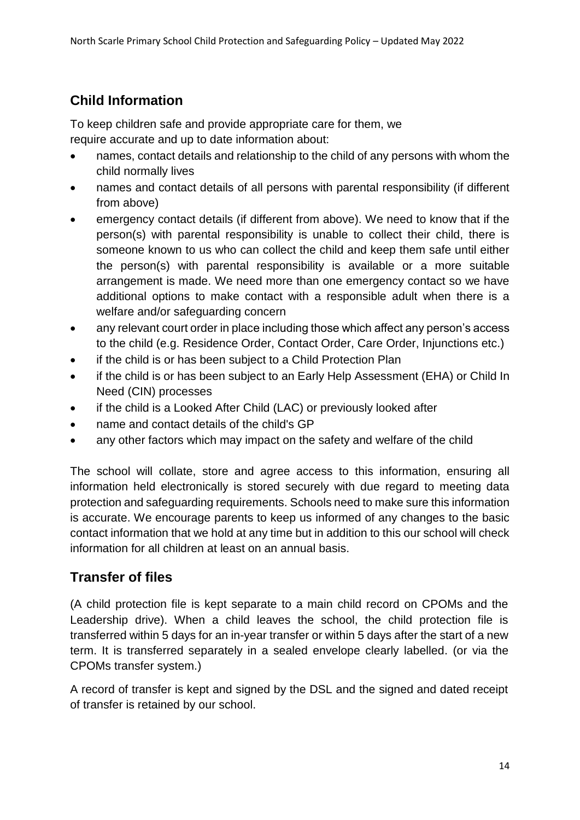# **Child Information**

To keep children safe and provide appropriate care for them, we require accurate and up to date information about:

- names, contact details and relationship to the child of any persons with whom the child normally lives
- names and contact details of all persons with parental responsibility (if different from above)
- emergency contact details (if different from above). We need to know that if the person(s) with parental responsibility is unable to collect their child, there is someone known to us who can collect the child and keep them safe until either the person(s) with parental responsibility is available or a more suitable arrangement is made. We need more than one emergency contact so we have additional options to make contact with a responsible adult when there is a welfare and/or safeguarding concern
- any relevant court order in place including those which affect any person's access to the child (e.g. Residence Order, Contact Order, Care Order, Injunctions etc.)
- if the child is or has been subject to a Child Protection Plan
- if the child is or has been subject to an Early Help Assessment (EHA) or Child In Need (CIN) processes
- if the child is a Looked After Child (LAC) or previously looked after
- name and contact details of the child's GP
- any other factors which may impact on the safety and welfare of the child

The school will collate, store and agree access to this information, ensuring all information held electronically is stored securely with due regard to meeting data protection and safeguarding requirements. Schools need to make sure this information is accurate. We encourage parents to keep us informed of any changes to the basic contact information that we hold at any time but in addition to this our school will check information for all children at least on an annual basis.

# **Transfer of files**

(A child protection file is kept separate to a main child record on CPOMs and the Leadership drive). When a child leaves the school, the child protection file is transferred within 5 days for an in-year transfer or within 5 days after the start of a new term. It is transferred separately in a sealed envelope clearly labelled. (or via the CPOMs transfer system.)

A record of transfer is kept and signed by the DSL and the signed and dated receipt of transfer is retained by our school.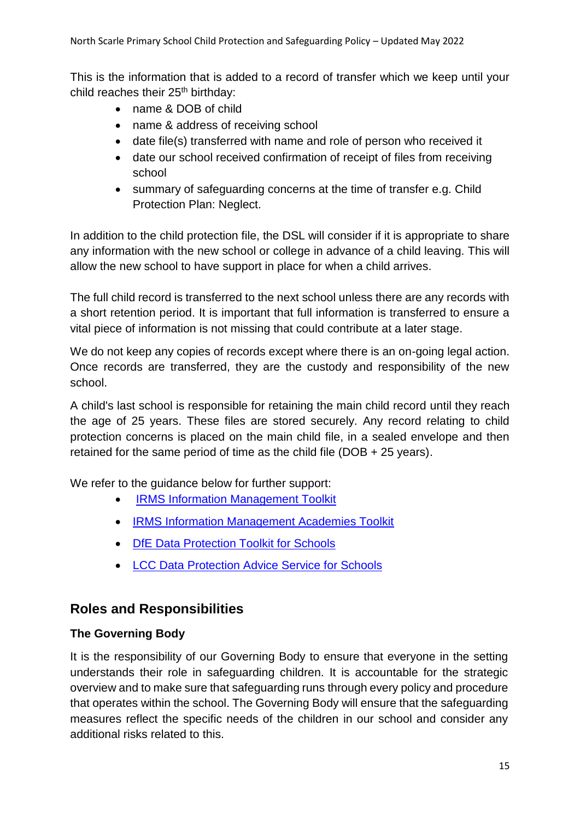This is the information that is added to a record of transfer which we keep until your child reaches their 25<sup>th</sup> birthday:

- name & DOB of child
- name & address of receiving school
- date file(s) transferred with name and role of person who received it
- date our school received confirmation of receipt of files from receiving school
- summary of safeguarding concerns at the time of transfer e.g. Child Protection Plan: Neglect.

In addition to the child protection file, the DSL will consider if it is appropriate to share any information with the new school or college in advance of a child leaving. This will allow the new school to have support in place for when a child arrives.

The full child record is transferred to the next school unless there are any records with a short retention period. It is important that full information is transferred to ensure a vital piece of information is not missing that could contribute at a later stage.

We do not keep any copies of records except where there is an on-going legal action. Once records are transferred, they are the custody and responsibility of the new school.

A child's last school is responsible for retaining the main child record until they reach the age of 25 years. These files are stored securely. Any record relating to child protection concerns is placed on the main child file, in a sealed envelope and then retained for the same period of time as the child file (DOB + 25 years).

We refer to the guidance below for further support:

- [IRMS Information Management Toolkit](https://irms.org.uk/page/SchoolsToolkit)
- [IRMS Information Management Academies Toolkit](https://irms.org.uk/page/AcademiesToolkit)
- [DfE Data Protection Toolkit for Schools](https://www.gov.uk/government/publications/data-protection-toolkit-for-schools)
- [LCC Data Protection Advice Service for Schools](https://www.lincolnshire.gov.uk/directory-record/63817/data-protection-advice-service)

### **Roles and Responsibilities**

### **The Governing Body**

It is the responsibility of our Governing Body to ensure that everyone in the setting understands their role in safeguarding children. It is accountable for the strategic overview and to make sure that safeguarding runs through every policy and procedure that operates within the school. The Governing Body will ensure that the safeguarding measures reflect the specific needs of the children in our school and consider any additional risks related to this.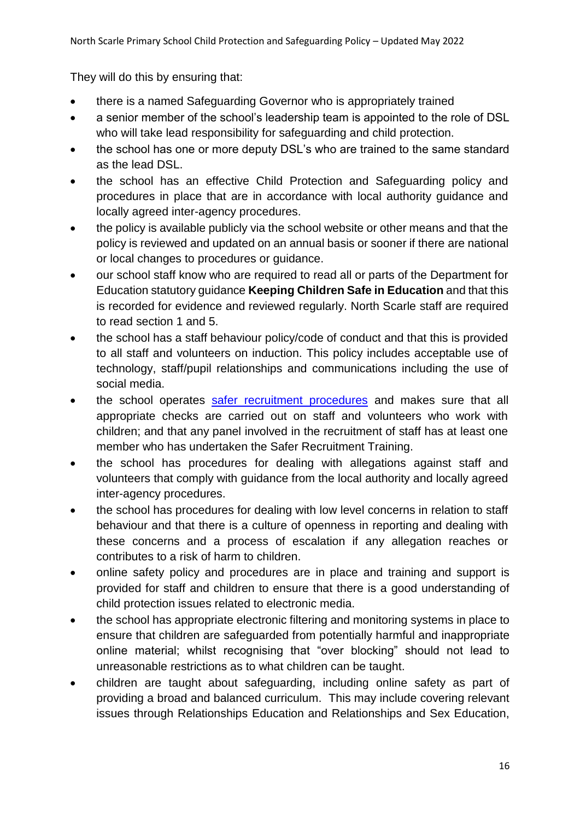They will do this by ensuring that:

- there is a named Safeguarding Governor who is appropriately trained
- a senior member of the school's leadership team is appointed to the role of DSL who will take lead responsibility for safeguarding and child protection.
- the school has one or more deputy DSL's who are trained to the same standard as the lead DSL.
- the school has an effective Child Protection and Safeguarding policy and procedures in place that are in accordance with local authority guidance and locally agreed inter-agency procedures.
- the policy is available publicly via the school website or other means and that the policy is reviewed and updated on an annual basis or sooner if there are national or local changes to procedures or guidance.
- our school staff know who are required to read all or parts of the Department for Education statutory guidance **Keeping Children Safe in Education** and that this is recorded for evidence and reviewed regularly. North Scarle staff are required to read section 1 and 5.
- the school has a staff behaviour policy/code of conduct and that this is provided to all staff and volunteers on induction. This policy includes acceptable use of technology, staff/pupil relationships and communications including the use of social media.
- the school operates [safer recruitment procedures](https://professionals.lincolnshire.gov.uk/downloads/download/110/recruitment-selection-and-induction?downloadID=110) and makes sure that all appropriate checks are carried out on staff and volunteers who work with children; and that any panel involved in the recruitment of staff has at least one member who has undertaken the Safer Recruitment Training.
- the school has procedures for dealing with allegations against staff and volunteers that comply with guidance from the local authority and locally agreed inter-agency procedures.
- the school has procedures for dealing with low level concerns in relation to staff behaviour and that there is a culture of openness in reporting and dealing with these concerns and a process of escalation if any allegation reaches or contributes to a risk of harm to children.
- online safety policy and procedures are in place and training and support is provided for staff and children to ensure that there is a good understanding of child protection issues related to electronic media.
- the school has appropriate electronic filtering and monitoring systems in place to ensure that children are safeguarded from potentially harmful and inappropriate online material; whilst recognising that "over blocking" should not lead to unreasonable restrictions as to what children can be taught.
- children are taught about safeguarding, including online safety as part of providing a broad and balanced curriculum. This may include covering relevant issues through Relationships Education and Relationships and Sex Education,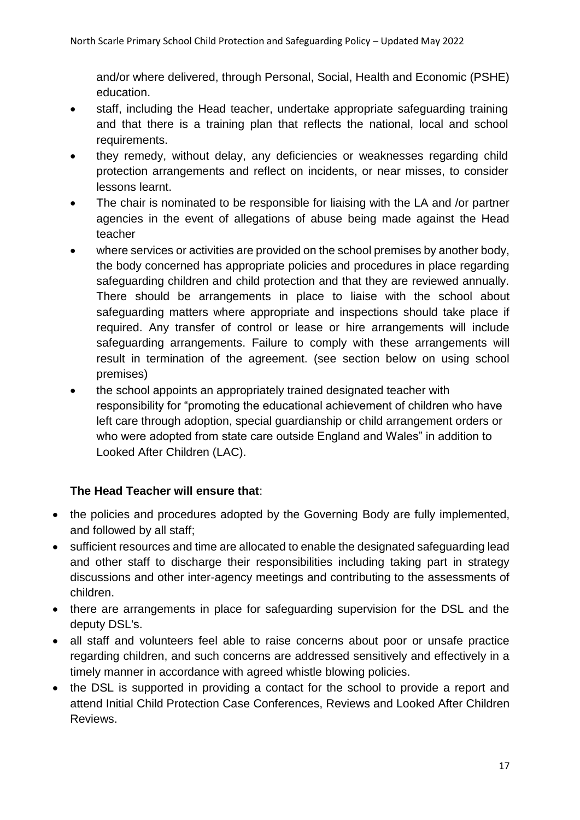and/or where delivered, through Personal, Social, Health and Economic (PSHE) education.

- staff, including the Head teacher, undertake appropriate safeguarding training and that there is a training plan that reflects the national, local and school requirements.
- they remedy, without delay, any deficiencies or weaknesses regarding child protection arrangements and reflect on incidents, or near misses, to consider lessons learnt.
- The chair is nominated to be responsible for liaising with the LA and /or partner agencies in the event of allegations of abuse being made against the Head teacher
- where services or activities are provided on the school premises by another body, the body concerned has appropriate policies and procedures in place regarding safeguarding children and child protection and that they are reviewed annually. There should be arrangements in place to liaise with the school about safeguarding matters where appropriate and inspections should take place if required. Any transfer of control or lease or hire arrangements will include safeguarding arrangements. Failure to comply with these arrangements will result in termination of the agreement. (see section below on using school premises)
- the school appoints an appropriately trained designated teacher with responsibility for "promoting the educational achievement of children who have left care through adoption, special guardianship or child arrangement orders or who were adopted from state care outside England and Wales" in addition to Looked After Children (LAC).

### **The Head Teacher will ensure that**:

- the policies and procedures adopted by the Governing Body are fully implemented, and followed by all staff;
- sufficient resources and time are allocated to enable the designated safeguarding lead and other staff to discharge their responsibilities including taking part in strategy discussions and other inter-agency meetings and contributing to the assessments of children.
- there are arrangements in place for safeguarding supervision for the DSL and the deputy DSL's.
- all staff and volunteers feel able to raise concerns about poor or unsafe practice regarding children, and such concerns are addressed sensitively and effectively in a timely manner in accordance with agreed whistle blowing policies.
- the DSL is supported in providing a contact for the school to provide a report and attend Initial Child Protection Case Conferences, Reviews and Looked After Children Reviews.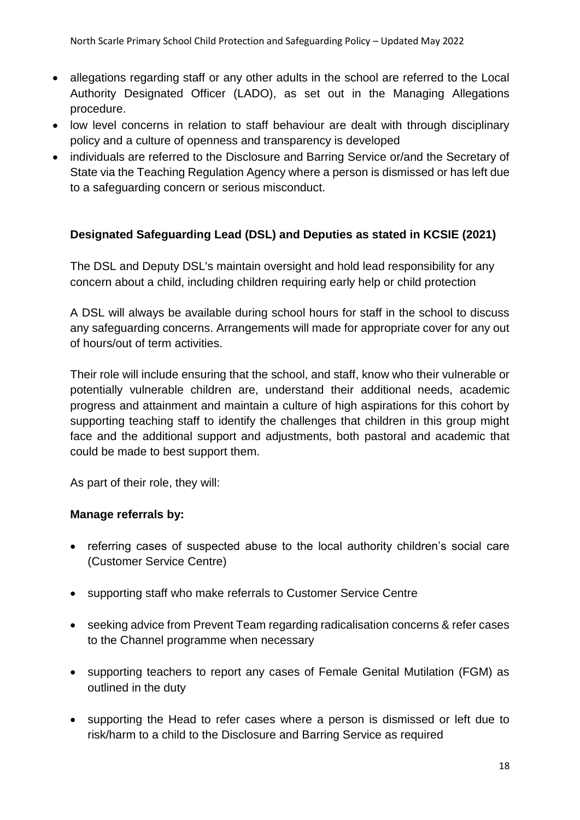- allegations regarding staff or any other adults in the school are referred to the Local Authority Designated Officer (LADO), as set out in the Managing Allegations procedure.
- low level concerns in relation to staff behaviour are dealt with through disciplinary policy and a culture of openness and transparency is developed
- individuals are referred to the Disclosure and Barring Service or/and the Secretary of State via the Teaching Regulation Agency where a person is dismissed or has left due to a safeguarding concern or serious misconduct.

### **Designated Safeguarding Lead (DSL) and Deputies as stated in KCSIE (2021)**

The DSL and Deputy DSL's maintain oversight and hold lead responsibility for any concern about a child, including children requiring early help or child protection

A DSL will always be available during school hours for staff in the school to discuss any safeguarding concerns. Arrangements will made for appropriate cover for any out of hours/out of term activities.

Their role will include ensuring that the school, and staff, know who their vulnerable or potentially vulnerable children are, understand their additional needs, academic progress and attainment and maintain a culture of high aspirations for this cohort by supporting teaching staff to identify the challenges that children in this group might face and the additional support and adjustments, both pastoral and academic that could be made to best support them.

As part of their role, they will:

### **Manage referrals by:**

- referring cases of suspected abuse to the local authority children's social care (Customer Service Centre)
- supporting staff who make referrals to Customer Service Centre
- seeking advice from Prevent Team regarding radicalisation concerns & refer cases to the Channel programme when necessary
- supporting teachers to report any cases of Female Genital Mutilation (FGM) as outlined in the duty
- supporting the Head to refer cases where a person is dismissed or left due to risk/harm to a child to the Disclosure and Barring Service as required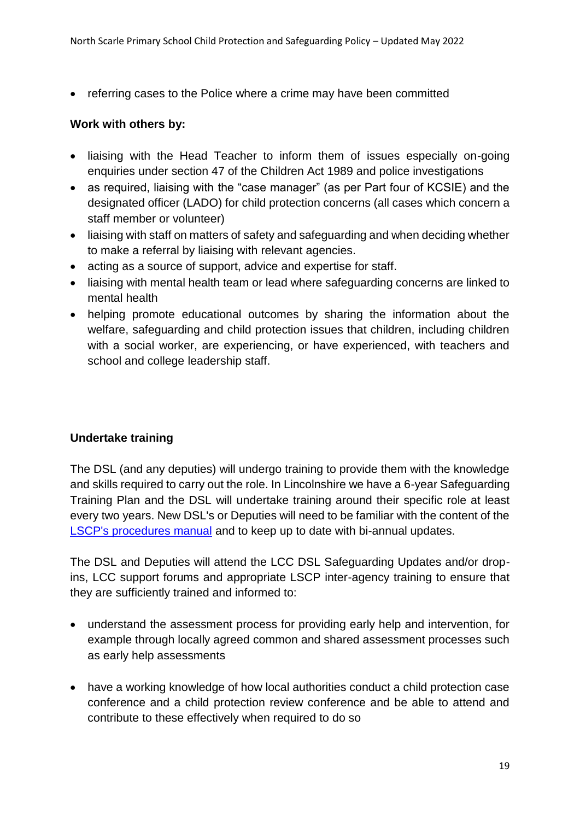• referring cases to the Police where a crime may have been committed

#### **Work with others by:**

- liaising with the Head Teacher to inform them of issues especially on-going enquiries under section 47 of the Children Act 1989 and police investigations
- as required, liaising with the "case manager" (as per Part four of KCSIE) and the designated officer (LADO) for child protection concerns (all cases which concern a staff member or volunteer)
- liaising with staff on matters of safety and safeguarding and when deciding whether to make a referral by liaising with relevant agencies.
- acting as a source of support, advice and expertise for staff.
- liaising with mental health team or lead where safeguarding concerns are linked to mental health
- helping promote educational outcomes by sharing the information about the welfare, safeguarding and child protection issues that children, including children with a social worker, are experiencing, or have experienced, with teachers and school and college leadership staff.

### **Undertake training**

The DSL (and any deputies) will undergo training to provide them with the knowledge and skills required to carry out the role. In Lincolnshire we have a 6-year Safeguarding Training Plan and the DSL will undertake training around their specific role at least every two years. New DSL's or Deputies will need to be familiar with the content of the [LSCP's procedures manual](https://lincolnshirescb.proceduresonline.com/chapters/contents.html) and to keep up to date with bi-annual updates.

The DSL and Deputies will attend the LCC DSL Safeguarding Updates and/or dropins, LCC support forums and appropriate LSCP inter-agency training to ensure that they are sufficiently trained and informed to:

- understand the assessment process for providing early help and intervention, for example through locally agreed common and shared assessment processes such as early help assessments
- have a working knowledge of how local authorities conduct a child protection case conference and a child protection review conference and be able to attend and contribute to these effectively when required to do so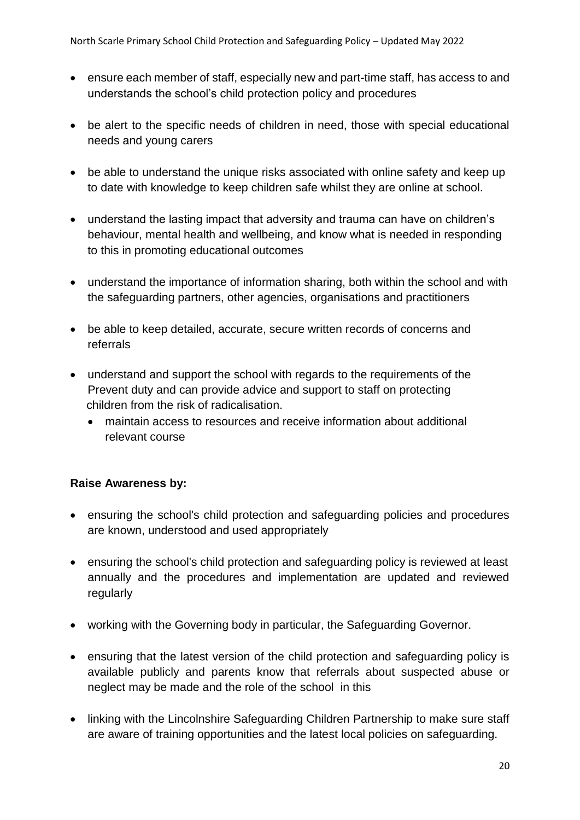- ensure each member of staff, especially new and part-time staff, has access to and understands the school's child protection policy and procedures
- be alert to the specific needs of children in need, those with special educational needs and young carers
- be able to understand the unique risks associated with online safety and keep up to date with knowledge to keep children safe whilst they are online at school.
- understand the lasting impact that adversity and trauma can have on children's behaviour, mental health and wellbeing, and know what is needed in responding to this in promoting educational outcomes
- understand the importance of information sharing, both within the school and with the safeguarding partners, other agencies, organisations and practitioners
- be able to keep detailed, accurate, secure written records of concerns and referrals
- understand and support the school with regards to the requirements of the Prevent duty and can provide advice and support to staff on protecting children from the risk of radicalisation.
	- maintain access to resources and receive information about additional relevant course

### **Raise Awareness by:**

- ensuring the school's child protection and safeguarding policies and procedures are known, understood and used appropriately
- ensuring the school's child protection and safeguarding policy is reviewed at least annually and the procedures and implementation are updated and reviewed regularly
- working with the Governing body in particular, the Safeguarding Governor.
- ensuring that the latest version of the child protection and safeguarding policy is available publicly and parents know that referrals about suspected abuse or neglect may be made and the role of the school in this
- linking with the Lincolnshire Safeguarding Children Partnership to make sure staff are aware of training opportunities and the latest local policies on safeguarding.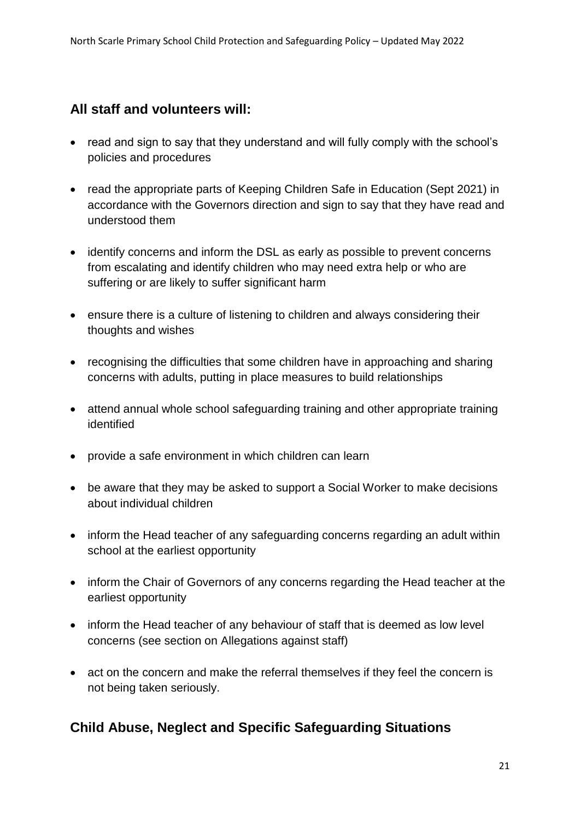### **All staff and volunteers will:**

- read and sign to say that they understand and will fully comply with the school's policies and procedures
- read the appropriate parts of Keeping Children Safe in Education (Sept 2021) in accordance with the Governors direction and sign to say that they have read and understood them
- identify concerns and inform the DSL as early as possible to prevent concerns from escalating and identify children who may need extra help or who are suffering or are likely to suffer significant harm
- ensure there is a culture of listening to children and always considering their thoughts and wishes
- recognising the difficulties that some children have in approaching and sharing concerns with adults, putting in place measures to build relationships
- attend annual whole school safeguarding training and other appropriate training identified
- provide a safe environment in which children can learn
- be aware that they may be asked to support a Social Worker to make decisions about individual children
- inform the Head teacher of any safeguarding concerns regarding an adult within school at the earliest opportunity
- inform the Chair of Governors of any concerns regarding the Head teacher at the earliest opportunity
- inform the Head teacher of any behaviour of staff that is deemed as low level concerns (see section on Allegations against staff)
- act on the concern and make the referral themselves if they feel the concern is not being taken seriously.

### **Child Abuse, Neglect and Specific Safeguarding Situations**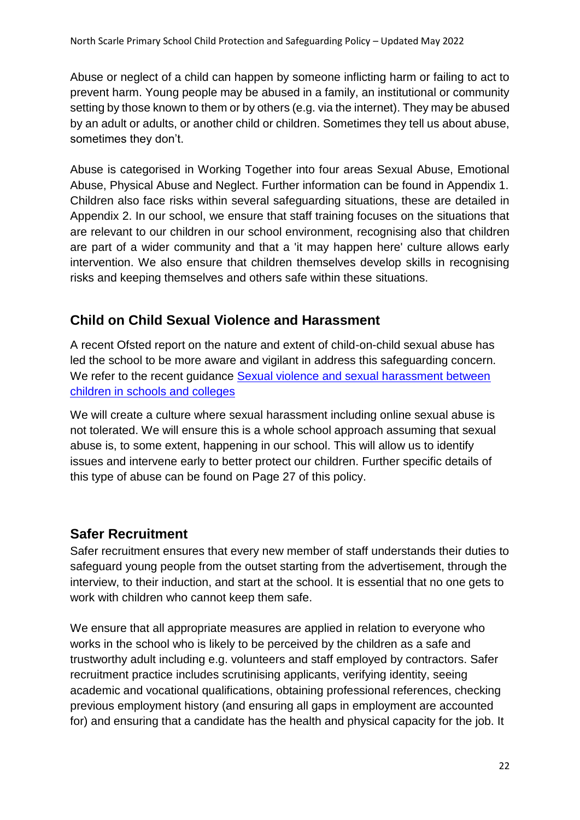Abuse or neglect of a child can happen by someone inflicting harm or failing to act to prevent harm. Young people may be abused in a family, an institutional or community setting by those known to them or by others (e.g. via the internet). They may be abused by an adult or adults, or another child or children. Sometimes they tell us about abuse, sometimes they don't.

Abuse is categorised in Working Together into four areas Sexual Abuse, Emotional Abuse, Physical Abuse and Neglect. Further information can be found in Appendix 1. Children also face risks within several safeguarding situations, these are detailed in Appendix 2. In our school, we ensure that staff training focuses on the situations that are relevant to our children in our school environment, recognising also that children are part of a wider community and that a 'it may happen here' culture allows early intervention. We also ensure that children themselves develop skills in recognising risks and keeping themselves and others safe within these situations.

# **Child on Child Sexual Violence and Harassment**

A recent Ofsted report on the nature and extent of child-on-child sexual abuse has led the school to be more aware and vigilant in address this safeguarding concern. We refer to the recent guidance [Sexual violence and sexual harassment between](https://www.gov.uk/government/publications/sexual-violence-and-sexual-harassment-between-children-in-schools-and-colleges)  [children in schools and colleges](https://www.gov.uk/government/publications/sexual-violence-and-sexual-harassment-between-children-in-schools-and-colleges)

We will create a culture where sexual harassment including online sexual abuse is not tolerated. We will ensure this is a whole school approach assuming that sexual abuse is, to some extent, happening in our school. This will allow us to identify issues and intervene early to better protect our children. Further specific details of this type of abuse can be found on Page 27 of this policy.

### **Safer Recruitment**

Safer recruitment ensures that every new member of staff understands their duties to safeguard young people from the outset starting from the advertisement, through the interview, to their induction, and start at the school. It is essential that no one gets to work with children who cannot keep them safe.

We ensure that all appropriate measures are applied in relation to everyone who works in the school who is likely to be perceived by the children as a safe and trustworthy adult including e.g. volunteers and staff employed by contractors. Safer recruitment practice includes scrutinising applicants, verifying identity, seeing academic and vocational qualifications, obtaining professional references, checking previous employment history (and ensuring all gaps in employment are accounted for) and ensuring that a candidate has the health and physical capacity for the job. It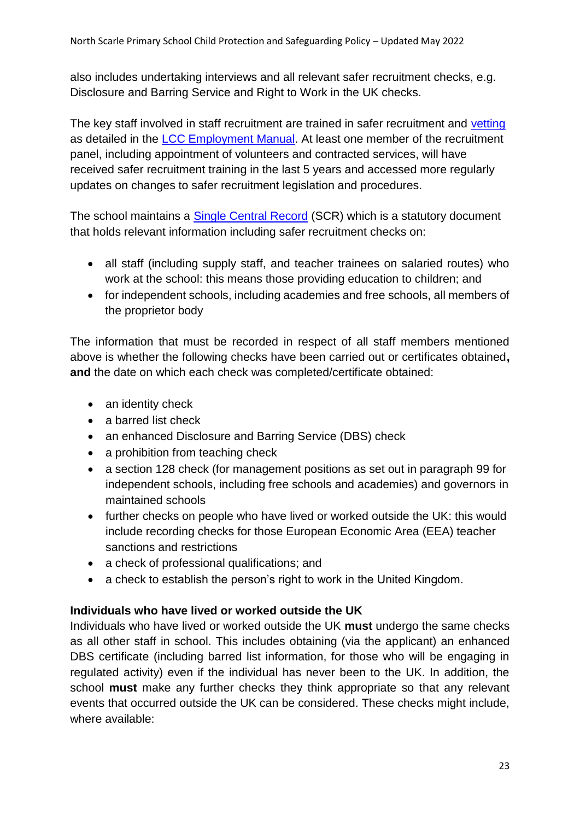also includes undertaking interviews and all relevant safer recruitment checks, e.g. Disclosure and Barring Service and Right to Work in the UK checks.

The key staff involved in staff recruitment are trained in safer recruitment and [vetting](https://professionals.lincolnshire.gov.uk/downloads/file/1783/school-recruitment-and-vetting-checks-policy) as detailed in the [LCC Employment Manual.](https://professionals.lincolnshire.gov.uk/schools-employment-manual) At least one member of the recruitment panel, including appointment of volunteers and contracted services, will have received safer recruitment training in the last 5 years and accessed more regularly updates on changes to safer recruitment legislation and procedures.

The school maintains a **Single Central Record** (SCR) which is a statutory document that holds relevant information including safer recruitment checks on:

- all staff (including supply staff, and teacher trainees on salaried routes) who work at the school: this means those providing education to children; and
- for independent schools, including academies and free schools, all members of the proprietor body

The information that must be recorded in respect of all staff members mentioned above is whether the following checks have been carried out or certificates obtained**, and** the date on which each check was completed/certificate obtained:

- an identity check
- a barred list check
- an enhanced Disclosure and Barring Service (DBS) check
- a prohibition from teaching check
- a section 128 check (for management positions as set out in paragraph 99 for independent schools, including free schools and academies) and governors in maintained schools
- further checks on people who have lived or worked outside the UK: this would include recording checks for those European Economic Area (EEA) teacher sanctions and restrictions
- a check of professional qualifications; and
- a check to establish the person's right to work in the United Kingdom.

### **Individuals who have lived or worked outside the UK**

Individuals who have lived or worked outside the UK **must** undergo the same checks as all other staff in school. This includes obtaining (via the applicant) an enhanced DBS certificate (including barred list information, for those who will be engaging in regulated activity) even if the individual has never been to the UK. In addition, the school **must** make any further checks they think appropriate so that any relevant events that occurred outside the UK can be considered. These checks might include, where available: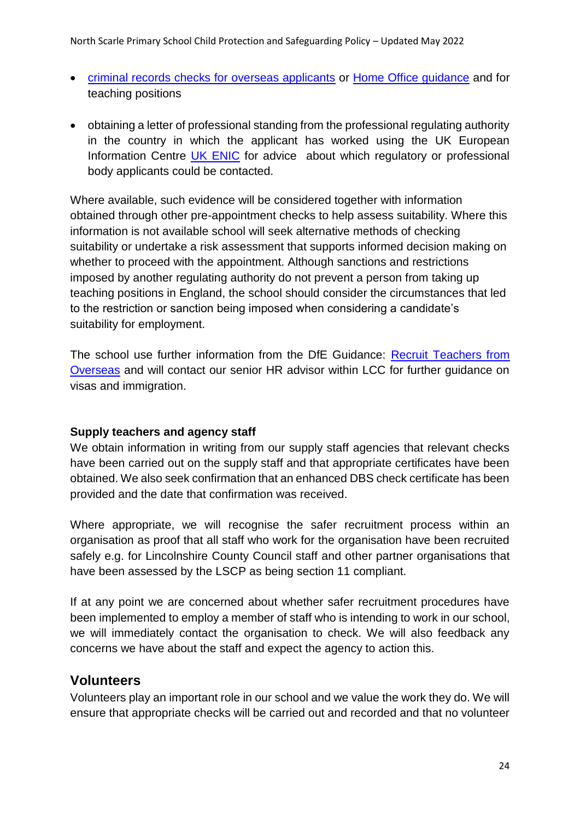North Scarle Primary School Child Protection and Safeguarding Policy – Updated May 2022

- [criminal records checks for overseas applicants](https://www.gov.uk/government/publications/criminal-records-checks-for-overseas-applicants) or [Home Office guidance](https://www.gov.uk/guidance/recruit-teachers-from-overseas) and for teaching positions
- obtaining a letter of professional standing from the professional regulating authority in the country in which the applicant has worked using the UK European Information Centre [UK ENIC](https://www.enic.org.uk/) for advice about which regulatory or professional body applicants could be contacted.

Where available, such evidence will be considered together with information obtained through other pre-appointment checks to help assess suitability. Where this information is not available school will seek alternative methods of checking suitability or undertake a risk assessment that supports informed decision making on whether to proceed with the appointment. Although sanctions and restrictions imposed by another regulating authority do not prevent a person from taking up teaching positions in England, the school should consider the circumstances that led to the restriction or sanction being imposed when considering a candidate's suitability for employment.

The school use further information from the DfE Guidance: [Recruit Teachers from](https://gbr01.safelinks.protection.outlook.com/?url=https%3A%2F%2Fwww.gov.uk%2Fguidance%2Frecruit-teachers-from-overseas%3Futm_medium%3Demail%26utm_campaign%3Dgovuk-notifications%26utm_source%3Dfbf8683d-de0b-4272-a762-dbb622d6ab50%26utm_content%3Ddaily&data=04%7C01%7CJill.Chandar-Nair%40lincolnshire.gov.uk%7C2311cbbdcab14e8624e008d94c5a7ece%7Cb4e05b92f8ce46b59b2499ba5c11e5e9%7C0%7C0%7C637624774458706598%7CUnknown%7CTWFpbGZsb3d8eyJWIjoiMC4wLjAwMDAiLCJQIjoiV2luMzIiLCJBTiI6Ik1haWwiLCJXVCI6Mn0%3D%7C1000&sdata=YG4Kf8aIXXvQOZnu%2BHeB03uDTMK0bWgQI36Y7Dyttb0%3D&reserved=0)  [Overseas](https://gbr01.safelinks.protection.outlook.com/?url=https%3A%2F%2Fwww.gov.uk%2Fguidance%2Frecruit-teachers-from-overseas%3Futm_medium%3Demail%26utm_campaign%3Dgovuk-notifications%26utm_source%3Dfbf8683d-de0b-4272-a762-dbb622d6ab50%26utm_content%3Ddaily&data=04%7C01%7CJill.Chandar-Nair%40lincolnshire.gov.uk%7C2311cbbdcab14e8624e008d94c5a7ece%7Cb4e05b92f8ce46b59b2499ba5c11e5e9%7C0%7C0%7C637624774458706598%7CUnknown%7CTWFpbGZsb3d8eyJWIjoiMC4wLjAwMDAiLCJQIjoiV2luMzIiLCJBTiI6Ik1haWwiLCJXVCI6Mn0%3D%7C1000&sdata=YG4Kf8aIXXvQOZnu%2BHeB03uDTMK0bWgQI36Y7Dyttb0%3D&reserved=0) and will contact our senior HR advisor within LCC for further guidance on visas and immigration.

### **Supply teachers and agency staff**

We obtain information in writing from our supply staff agencies that relevant checks have been carried out on the supply staff and that appropriate certificates have been obtained. We also seek confirmation that an enhanced DBS check certificate has been provided and the date that confirmation was received.

Where appropriate, we will recognise the safer recruitment process within an organisation as proof that all staff who work for the organisation have been recruited safely e.g. for Lincolnshire County Council staff and other partner organisations that have been assessed by the LSCP as being section 11 compliant.

If at any point we are concerned about whether safer recruitment procedures have been implemented to employ a member of staff who is intending to work in our school, we will immediately contact the organisation to check. We will also feedback any concerns we have about the staff and expect the agency to action this.

### **Volunteers**

Volunteers play an important role in our school and we value the work they do. We will ensure that appropriate checks will be carried out and recorded and that no volunteer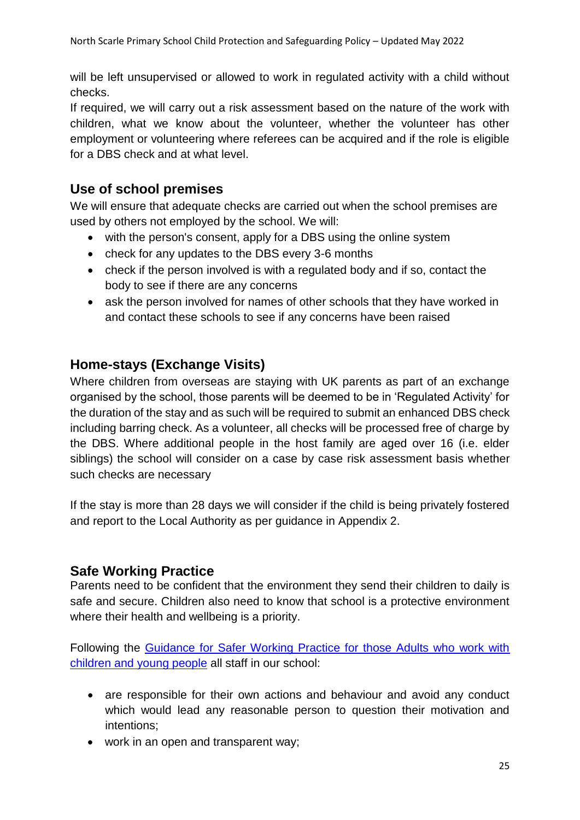will be left unsupervised or allowed to work in regulated activity with a child without checks.

If required, we will carry out a risk assessment based on the nature of the work with children, what we know about the volunteer, whether the volunteer has other employment or volunteering where referees can be acquired and if the role is eligible for a DBS check and at what level.

# **Use of school premises**

We will ensure that adequate checks are carried out when the school premises are used by others not employed by the school. We will:

- with the person's consent, apply for a DBS using the online system
- check for any updates to the DBS every 3-6 months
- check if the person involved is with a regulated body and if so, contact the body to see if there are any concerns
- ask the person involved for names of other schools that they have worked in and contact these schools to see if any concerns have been raised

# **Home-stays (Exchange Visits)**

Where children from overseas are staying with UK parents as part of an exchange organised by the school, those parents will be deemed to be in 'Regulated Activity' for the duration of the stay and as such will be required to submit an enhanced DBS check including barring check. As a volunteer, all checks will be processed free of charge by the DBS. Where additional people in the host family are aged over 16 (i.e. elder siblings) the school will consider on a case by case risk assessment basis whether such checks are necessary

If the stay is more than 28 days we will consider if the child is being privately fostered and report to the Local Authority as per guidance in Appendix 2.

### **Safe Working Practice**

Parents need to be confident that the environment they send their children to daily is safe and secure. Children also need to know that school is a protective environment where their health and wellbeing is a priority.

Following the [Guidance for Safer Working Practice for those Adults who work with](https://c-cluster-110.uploads.documents.cimpress.io/v1/uploads/13ecce28-e8f2-49e9-83c6-c29337cd8071~110/original?tenant=vbu-digital)  [children and young people](https://c-cluster-110.uploads.documents.cimpress.io/v1/uploads/13ecce28-e8f2-49e9-83c6-c29337cd8071~110/original?tenant=vbu-digital) all staff in our school:

- are responsible for their own actions and behaviour and avoid any conduct which would lead any reasonable person to question their motivation and intentions;
- work in an open and transparent way;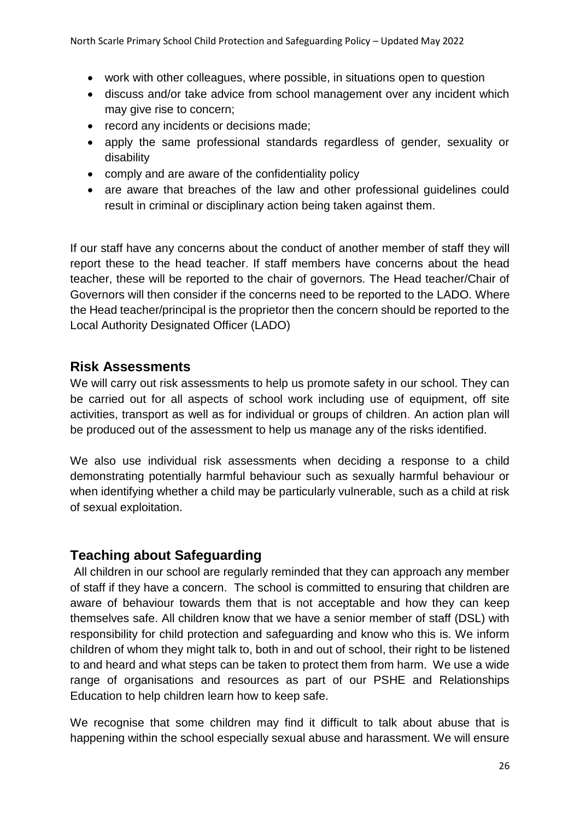- work with other colleagues, where possible, in situations open to question
- discuss and/or take advice from school management over any incident which may give rise to concern;
- record any incidents or decisions made;
- apply the same professional standards regardless of gender, sexuality or disability
- comply and are aware of the confidentiality policy
- are aware that breaches of the law and other professional guidelines could result in criminal or disciplinary action being taken against them.

If our staff have any concerns about the conduct of another member of staff they will report these to the head teacher. If staff members have concerns about the head teacher, these will be reported to the chair of governors. The Head teacher/Chair of Governors will then consider if the concerns need to be reported to the LADO. Where the Head teacher/principal is the proprietor then the concern should be reported to the Local Authority Designated Officer (LADO)

### **Risk Assessments**

We will carry out risk assessments to help us promote safety in our school. They can be carried out for all aspects of school work including use of equipment, off site activities, transport as well as for individual or groups of children. An action plan will be produced out of the assessment to help us manage any of the risks identified.

We also use individual risk assessments when deciding a response to a child demonstrating potentially harmful behaviour such as sexually harmful behaviour or when identifying whether a child may be particularly vulnerable, such as a child at risk of sexual exploitation.

### **Teaching about Safeguarding**

All children in our school are regularly reminded that they can approach any member of staff if they have a concern. The school is committed to ensuring that children are aware of behaviour towards them that is not acceptable and how they can keep themselves safe. All children know that we have a senior member of staff (DSL) with responsibility for child protection and safeguarding and know who this is. We inform children of whom they might talk to, both in and out of school, their right to be listened to and heard and what steps can be taken to protect them from harm. We use a wide range of organisations and resources as part of our PSHE and Relationships Education to help children learn how to keep safe.

We recognise that some children may find it difficult to talk about abuse that is happening within the school especially sexual abuse and harassment. We will ensure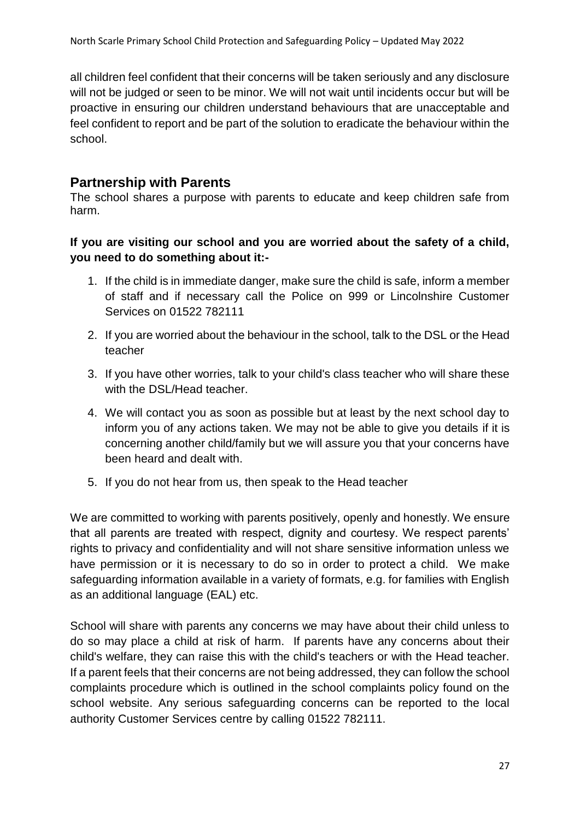all children feel confident that their concerns will be taken seriously and any disclosure will not be judged or seen to be minor. We will not wait until incidents occur but will be proactive in ensuring our children understand behaviours that are unacceptable and feel confident to report and be part of the solution to eradicate the behaviour within the school.

### **Partnership with Parents**

The school shares a purpose with parents to educate and keep children safe from harm.

### **If you are visiting our school and you are worried about the safety of a child, you need to do something about it:-**

- 1. If the child is in immediate danger, make sure the child is safe, inform a member of staff and if necessary call the Police on 999 or Lincolnshire Customer Services on 01522 782111
- 2. If you are worried about the behaviour in the school, talk to the DSL or the Head teacher
- 3. If you have other worries, talk to your child's class teacher who will share these with the DSL/Head teacher.
- 4. We will contact you as soon as possible but at least by the next school day to inform you of any actions taken. We may not be able to give you details if it is concerning another child/family but we will assure you that your concerns have been heard and dealt with.
- 5. If you do not hear from us, then speak to the Head teacher

We are committed to working with parents positively, openly and honestly. We ensure that all parents are treated with respect, dignity and courtesy. We respect parents' rights to privacy and confidentiality and will not share sensitive information unless we have permission or it is necessary to do so in order to protect a child. We make safeguarding information available in a variety of formats, e.g. for families with English as an additional language (EAL) etc.

School will share with parents any concerns we may have about their child unless to do so may place a child at risk of harm. If parents have any concerns about their child's welfare, they can raise this with the child's teachers or with the Head teacher. If a parent feels that their concerns are not being addressed, they can follow the school complaints procedure which is outlined in the school complaints policy found on the school website. Any serious safeguarding concerns can be reported to the local authority Customer Services centre by calling 01522 782111.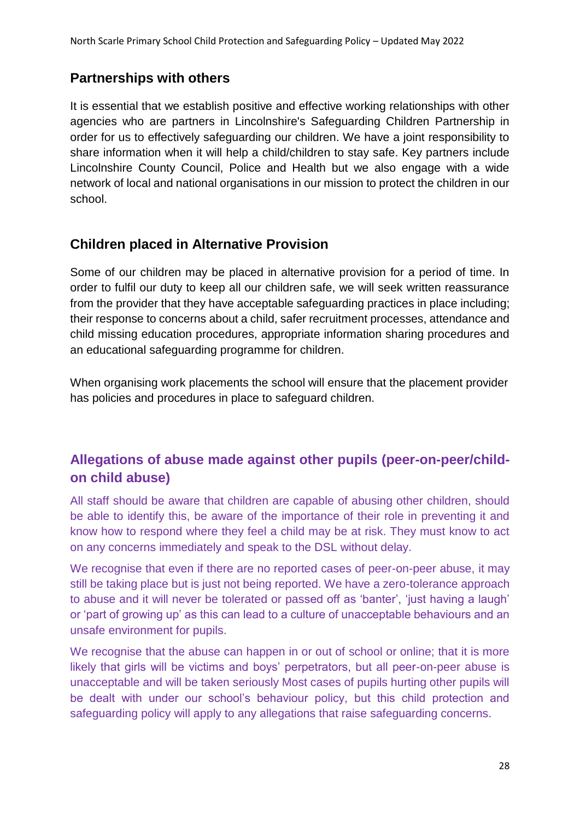## **Partnerships with others**

It is essential that we establish positive and effective working relationships with other agencies who are partners in Lincolnshire's Safeguarding Children Partnership in order for us to effectively safeguarding our children. We have a joint responsibility to share information when it will help a child/children to stay safe. Key partners include Lincolnshire County Council, Police and Health but we also engage with a wide network of local and national organisations in our mission to protect the children in our school.

# **Children placed in Alternative Provision**

Some of our children may be placed in alternative provision for a period of time. In order to fulfil our duty to keep all our children safe, we will seek written reassurance from the provider that they have acceptable safeguarding practices in place including; their response to concerns about a child, safer recruitment processes, attendance and child missing education procedures, appropriate information sharing procedures and an educational safeguarding programme for children.

When organising work placements the school will ensure that the placement provider has policies and procedures in place to safeguard children.

# **Allegations of abuse made against other pupils (peer-on-peer/childon child abuse)**

All staff should be aware that children are capable of abusing other children, should be able to identify this, be aware of the importance of their role in preventing it and know how to respond where they feel a child may be at risk. They must know to act on any concerns immediately and speak to the DSL without delay.

We recognise that even if there are no reported cases of peer-on-peer abuse, it may still be taking place but is just not being reported. We have a zero-tolerance approach to abuse and it will never be tolerated or passed off as 'banter', 'just having a laugh' or 'part of growing up' as this can lead to a culture of unacceptable behaviours and an unsafe environment for pupils.

We recognise that the abuse can happen in or out of school or online; that it is more likely that girls will be victims and boys' perpetrators, but all peer-on-peer abuse is unacceptable and will be taken seriously Most cases of pupils hurting other pupils will be dealt with under our school's behaviour policy, but this child protection and safeguarding policy will apply to any allegations that raise safeguarding concerns.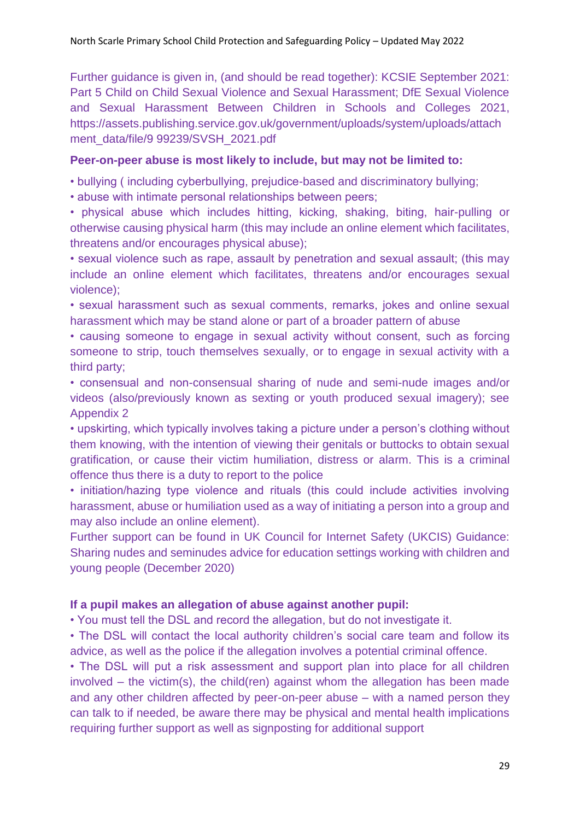Further guidance is given in, (and should be read together): KCSIE September 2021: Part 5 Child on Child Sexual Violence and Sexual Harassment; DfE Sexual Violence and Sexual Harassment Between Children in Schools and Colleges 2021, https://assets.publishing.service.gov.uk/government/uploads/system/uploads/attach ment\_data/file/9 99239/SVSH\_2021.pdf

#### **Peer-on-peer abuse is most likely to include, but may not be limited to:**

• bullying ( including cyberbullying, prejudice-based and discriminatory bullying;

• abuse with intimate personal relationships between peers;

• physical abuse which includes hitting, kicking, shaking, biting, hair-pulling or otherwise causing physical harm (this may include an online element which facilitates, threatens and/or encourages physical abuse);

• sexual violence such as rape, assault by penetration and sexual assault; (this may include an online element which facilitates, threatens and/or encourages sexual violence);

• sexual harassment such as sexual comments, remarks, jokes and online sexual harassment which may be stand alone or part of a broader pattern of abuse

• causing someone to engage in sexual activity without consent, such as forcing someone to strip, touch themselves sexually, or to engage in sexual activity with a third party;

• consensual and non-consensual sharing of nude and semi-nude images and/or videos (also/previously known as sexting or youth produced sexual imagery); see Appendix 2

• upskirting, which typically involves taking a picture under a person's clothing without them knowing, with the intention of viewing their genitals or buttocks to obtain sexual gratification, or cause their victim humiliation, distress or alarm. This is a criminal offence thus there is a duty to report to the police

• initiation/hazing type violence and rituals (this could include activities involving harassment, abuse or humiliation used as a way of initiating a person into a group and may also include an online element).

Further support can be found in UK Council for Internet Safety (UKCIS) Guidance: Sharing nudes and seminudes advice for education settings working with children and young people (December 2020)

### **If a pupil makes an allegation of abuse against another pupil:**

• You must tell the DSL and record the allegation, but do not investigate it.

• The DSL will contact the local authority children's social care team and follow its advice, as well as the police if the allegation involves a potential criminal offence.

• The DSL will put a risk assessment and support plan into place for all children involved – the victim(s), the child(ren) against whom the allegation has been made and any other children affected by peer-on-peer abuse – with a named person they can talk to if needed, be aware there may be physical and mental health implications requiring further support as well as signposting for additional support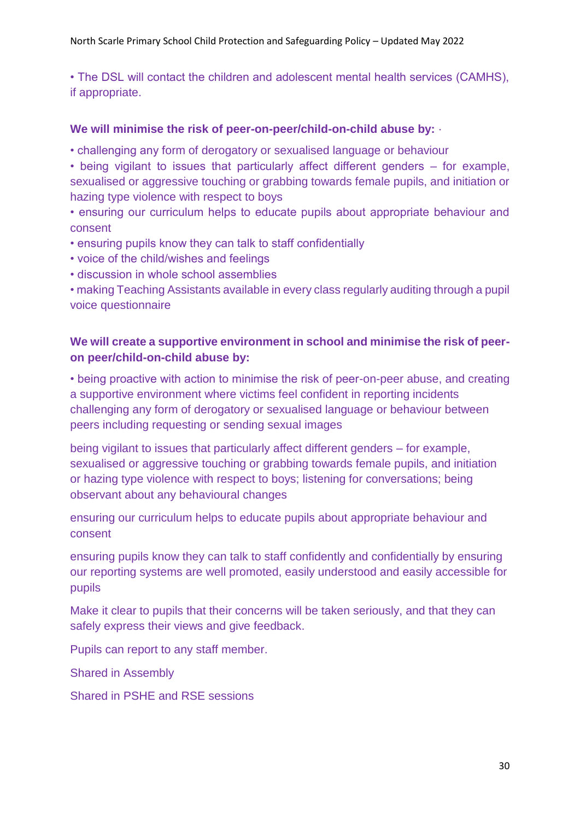• The DSL will contact the children and adolescent mental health services (CAMHS), if appropriate.

#### **We will minimise the risk of peer-on-peer/child-on-child abuse by:** ·

• challenging any form of derogatory or sexualised language or behaviour

• being vigilant to issues that particularly affect different genders – for example, sexualised or aggressive touching or grabbing towards female pupils, and initiation or hazing type violence with respect to boys

• ensuring our curriculum helps to educate pupils about appropriate behaviour and consent

- ensuring pupils know they can talk to staff confidentially
- voice of the child/wishes and feelings
- discussion in whole school assemblies

• making Teaching Assistants available in every class regularly auditing through a pupil voice questionnaire

#### **We will create a supportive environment in school and minimise the risk of peeron peer/child-on-child abuse by:**

• being proactive with action to minimise the risk of peer-on-peer abuse, and creating a supportive environment where victims feel confident in reporting incidents challenging any form of derogatory or sexualised language or behaviour between peers including requesting or sending sexual images

being vigilant to issues that particularly affect different genders – for example, sexualised or aggressive touching or grabbing towards female pupils, and initiation or hazing type violence with respect to boys; listening for conversations; being observant about any behavioural changes

ensuring our curriculum helps to educate pupils about appropriate behaviour and consent

ensuring pupils know they can talk to staff confidently and confidentially by ensuring our reporting systems are well promoted, easily understood and easily accessible for pupils

Make it clear to pupils that their concerns will be taken seriously, and that they can safely express their views and give feedback.

Pupils can report to any staff member.

Shared in Assembly

Shared in PSHE and RSE sessions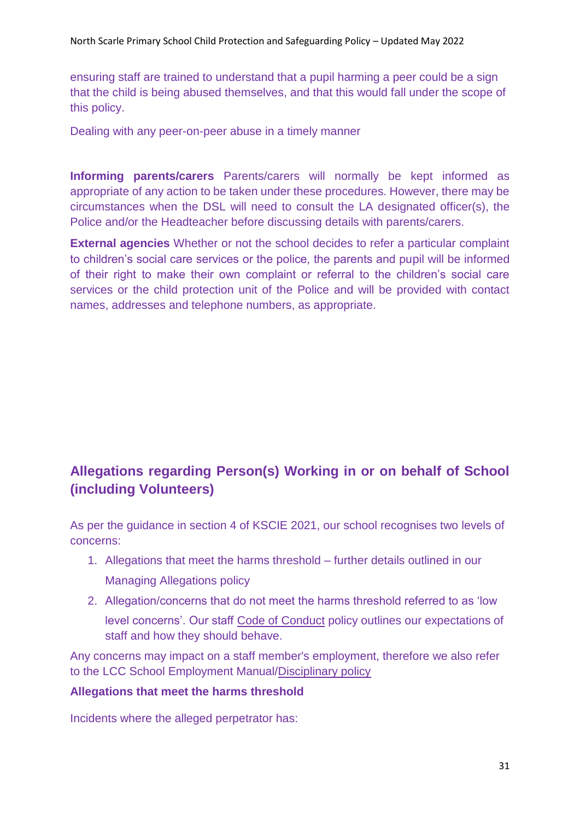ensuring staff are trained to understand that a pupil harming a peer could be a sign that the child is being abused themselves, and that this would fall under the scope of this policy.

Dealing with any peer-on-peer abuse in a timely manner

**Informing parents/carers** Parents/carers will normally be kept informed as appropriate of any action to be taken under these procedures. However, there may be circumstances when the DSL will need to consult the LA designated officer(s), the Police and/or the Headteacher before discussing details with parents/carers.

**External agencies** Whether or not the school decides to refer a particular complaint to children's social care services or the police, the parents and pupil will be informed of their right to make their own complaint or referral to the children's social care services or the child protection unit of the Police and will be provided with contact names, addresses and telephone numbers, as appropriate.

# **Allegations regarding Person(s) Working in or on behalf of School (including Volunteers)**

As per the guidance in section 4 of KSCIE 2021, our school recognises two levels of concerns:

- 1. Allegations that meet the harms threshold further details outlined in our Managing Allegations policy
- 2. Allegation/concerns that do not meet the harms threshold referred to as 'low level concerns'. Our staff [Code of Conduct](https://www.lincolnshire.gov.uk/employment-policies/code-conduct) policy outlines our expectations of staff and how they should behave.

Any concerns may impact on a staff member's employment, therefore we also refer to the LCC School Employment Manual[/Disciplinary policy](https://professionals.lincolnshire.gov.uk/downloads/file/1780/employee-discipline)

### **Allegations that meet the harms threshold**

Incidents where the alleged perpetrator has: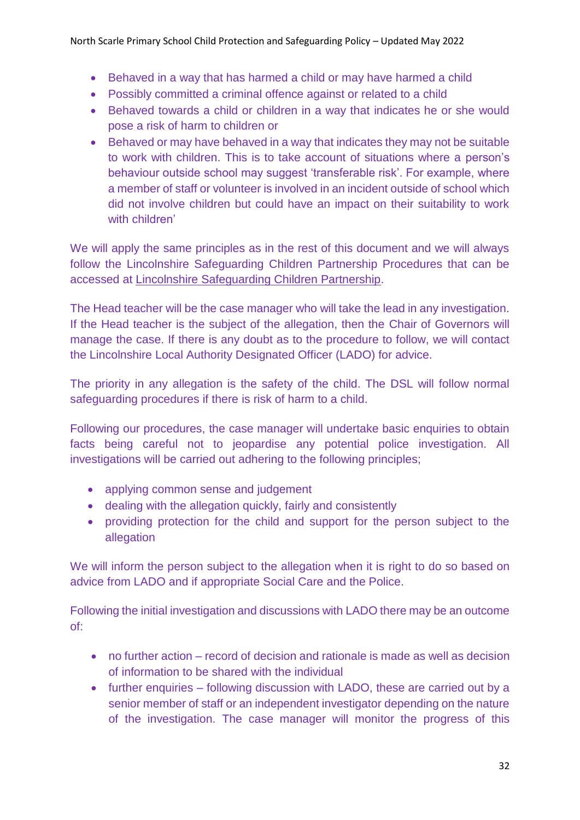- Behaved in a way that has harmed a child or may have harmed a child
- Possibly committed a criminal offence against or related to a child
- Behaved towards a child or children in a way that indicates he or she would pose a risk of harm to children or
- Behaved or may have behaved in a way that indicates they may not be suitable to work with children. This is to take account of situations where a person's behaviour outside school may suggest 'transferable risk'. For example, where a member of staff or volunteer is involved in an incident outside of school which did not involve children but could have an impact on their suitability to work with children'

We will apply the same principles as in the rest of this document and we will always follow the Lincolnshire Safeguarding Children Partnership Procedures that can be accessed at [Lincolnshire Safeguarding Children Partnership.](https://lincolnshirescb.proceduresonline.com/chapters/contents.html)

The Head teacher will be the case manager who will take the lead in any investigation. If the Head teacher is the subject of the allegation, then the Chair of Governors will manage the case. If there is any doubt as to the procedure to follow, we will contact the Lincolnshire Local Authority Designated Officer (LADO) for advice.

The priority in any allegation is the safety of the child. The DSL will follow normal safeguarding procedures if there is risk of harm to a child.

Following our procedures, the case manager will undertake basic enquiries to obtain facts being careful not to jeopardise any potential police investigation. All investigations will be carried out adhering to the following principles;

- applying common sense and judgement
- dealing with the allegation quickly, fairly and consistently
- providing protection for the child and support for the person subject to the allegation

We will inform the person subject to the allegation when it is right to do so based on advice from LADO and if appropriate Social Care and the Police.

Following the initial investigation and discussions with LADO there may be an outcome of:

- no further action record of decision and rationale is made as well as decision of information to be shared with the individual
- further enquiries following discussion with LADO, these are carried out by a senior member of staff or an independent investigator depending on the nature of the investigation. The case manager will monitor the progress of this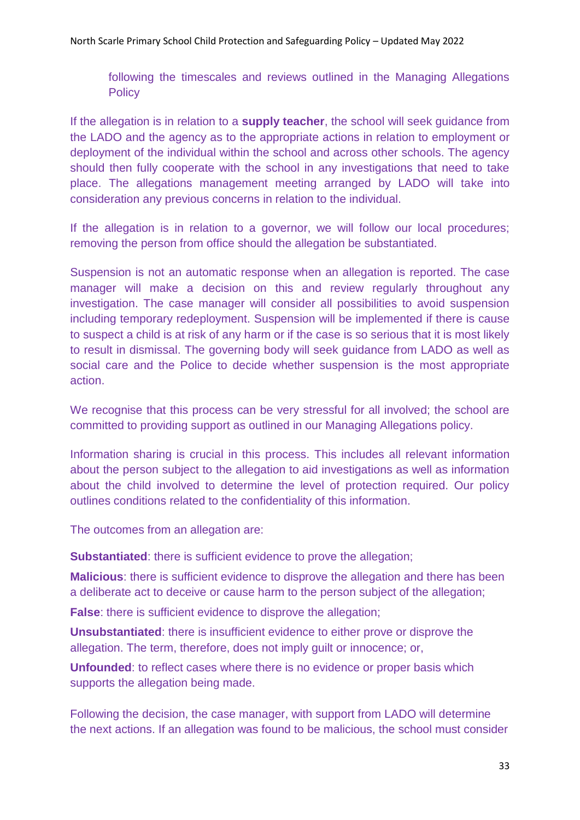following the timescales and reviews outlined in the Managing Allegations **Policy** 

If the allegation is in relation to a **supply teacher**, the school will seek guidance from the LADO and the agency as to the appropriate actions in relation to employment or deployment of the individual within the school and across other schools. The agency should then fully cooperate with the school in any investigations that need to take place. The allegations management meeting arranged by LADO will take into consideration any previous concerns in relation to the individual.

If the allegation is in relation to a governor, we will follow our local procedures; removing the person from office should the allegation be substantiated.

Suspension is not an automatic response when an allegation is reported. The case manager will make a decision on this and review regularly throughout any investigation. The case manager will consider all possibilities to avoid suspension including temporary redeployment. Suspension will be implemented if there is cause to suspect a child is at risk of any harm or if the case is so serious that it is most likely to result in dismissal. The governing body will seek guidance from LADO as well as social care and the Police to decide whether suspension is the most appropriate action.

We recognise that this process can be very stressful for all involved; the school are committed to providing support as outlined in our Managing Allegations policy.

Information sharing is crucial in this process. This includes all relevant information about the person subject to the allegation to aid investigations as well as information about the child involved to determine the level of protection required. Our policy outlines conditions related to the confidentiality of this information.

The outcomes from an allegation are:

**Substantiated:** there is sufficient evidence to prove the allegation;

**Malicious**: there is sufficient evidence to disprove the allegation and there has been a deliberate act to deceive or cause harm to the person subject of the allegation;

**False:** there is sufficient evidence to disprove the allegation;

**Unsubstantiated**: there is insufficient evidence to either prove or disprove the allegation. The term, therefore, does not imply guilt or innocence; or,

**Unfounded**: to reflect cases where there is no evidence or proper basis which supports the allegation being made.

Following the decision, the case manager, with support from LADO will determine the next actions. If an allegation was found to be malicious, the school must consider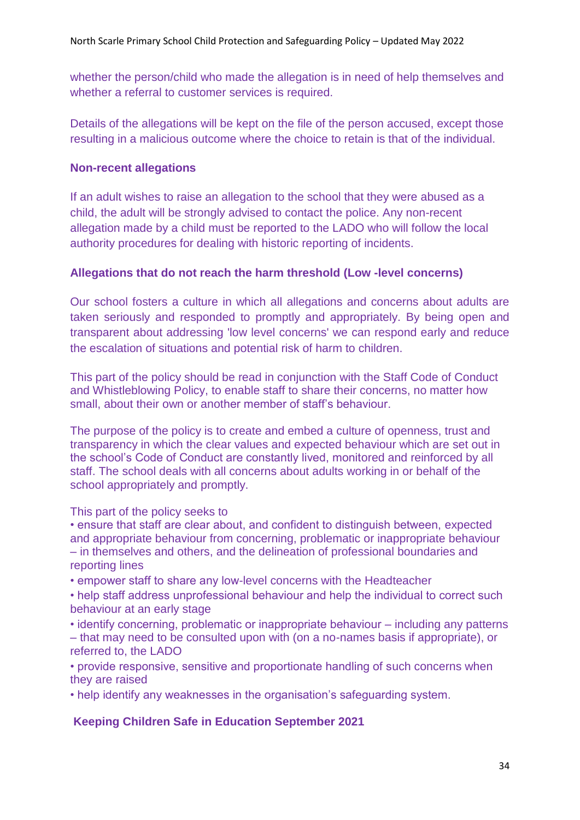whether the person/child who made the allegation is in need of help themselves and whether a referral to customer services is required.

Details of the allegations will be kept on the file of the person accused, except those resulting in a malicious outcome where the choice to retain is that of the individual.

#### **Non-recent allegations**

If an adult wishes to raise an allegation to the school that they were abused as a child, the adult will be strongly advised to contact the police. Any non-recent allegation made by a child must be reported to the LADO who will follow the local authority procedures for dealing with historic reporting of incidents.

#### **Allegations that do not reach the harm threshold (Low -level concerns)**

Our school fosters a culture in which all allegations and concerns about adults are taken seriously and responded to promptly and appropriately. By being open and transparent about addressing 'low level concerns' we can respond early and reduce the escalation of situations and potential risk of harm to children.

This part of the policy should be read in conjunction with the Staff Code of Conduct and Whistleblowing Policy, to enable staff to share their concerns, no matter how small, about their own or another member of staff's behaviour.

The purpose of the policy is to create and embed a culture of openness, trust and transparency in which the clear values and expected behaviour which are set out in the school's Code of Conduct are constantly lived, monitored and reinforced by all staff. The school deals with all concerns about adults working in or behalf of the school appropriately and promptly.

This part of the policy seeks to

• ensure that staff are clear about, and confident to distinguish between, expected and appropriate behaviour from concerning, problematic or inappropriate behaviour – in themselves and others, and the delineation of professional boundaries and reporting lines

• empower staff to share any low-level concerns with the Headteacher

• help staff address unprofessional behaviour and help the individual to correct such behaviour at an early stage

• identify concerning, problematic or inappropriate behaviour – including any patterns – that may need to be consulted upon with (on a no-names basis if appropriate), or referred to, the LADO

• provide responsive, sensitive and proportionate handling of such concerns when they are raised

• help identify any weaknesses in the organisation's safeguarding system.

### **Keeping Children Safe in Education September 2021**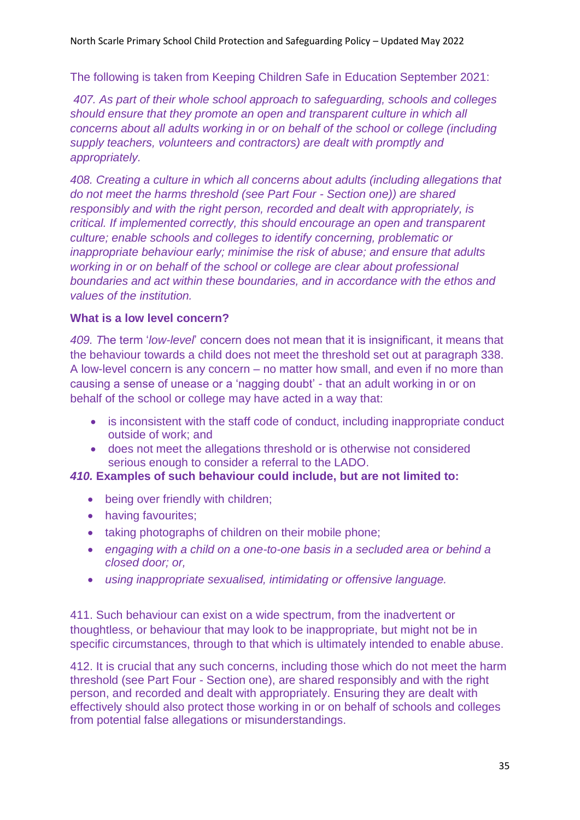The following is taken from Keeping Children Safe in Education September 2021:

*407. As part of their whole school approach to safeguarding, schools and colleges should ensure that they promote an open and transparent culture in which all concerns about all adults working in or on behalf of the school or college (including supply teachers, volunteers and contractors) are dealt with promptly and appropriately.* 

*408. Creating a culture in which all concerns about adults (including allegations that do not meet the harms threshold (see Part Four - Section one)) are shared responsibly and with the right person, recorded and dealt with appropriately, is critical. If implemented correctly, this should encourage an open and transparent culture; enable schools and colleges to identify concerning, problematic or inappropriate behaviour early; minimise the risk of abuse; and ensure that adults working in or on behalf of the school or college are clear about professional boundaries and act within these boundaries, and in accordance with the ethos and values of the institution.* 

#### **What is a low level concern?**

*409. T*he term '*low-level*' concern does not mean that it is insignificant, it means that the behaviour towards a child does not meet the threshold set out at paragraph 338. A low-level concern is any concern – no matter how small, and even if no more than causing a sense of unease or a 'nagging doubt' - that an adult working in or on behalf of the school or college may have acted in a way that:

- is inconsistent with the staff code of conduct, including inappropriate conduct outside of work; and
- does not meet the allegations threshold or is otherwise not considered serious enough to consider a referral to the LADO.

#### *410.* **Examples of such behaviour could include, but are not limited to:**

- being over friendly with children;
- having favourites;
- taking photographs of children on their mobile phone;
- *engaging with a child on a one-to-one basis in a secluded area or behind a closed door; or,*
- *using inappropriate sexualised, intimidating or offensive language.*

411. Such behaviour can exist on a wide spectrum, from the inadvertent or thoughtless, or behaviour that may look to be inappropriate, but might not be in specific circumstances, through to that which is ultimately intended to enable abuse.

412. It is crucial that any such concerns, including those which do not meet the harm threshold (see Part Four - Section one), are shared responsibly and with the right person, and recorded and dealt with appropriately. Ensuring they are dealt with effectively should also protect those working in or on behalf of schools and colleges from potential false allegations or misunderstandings.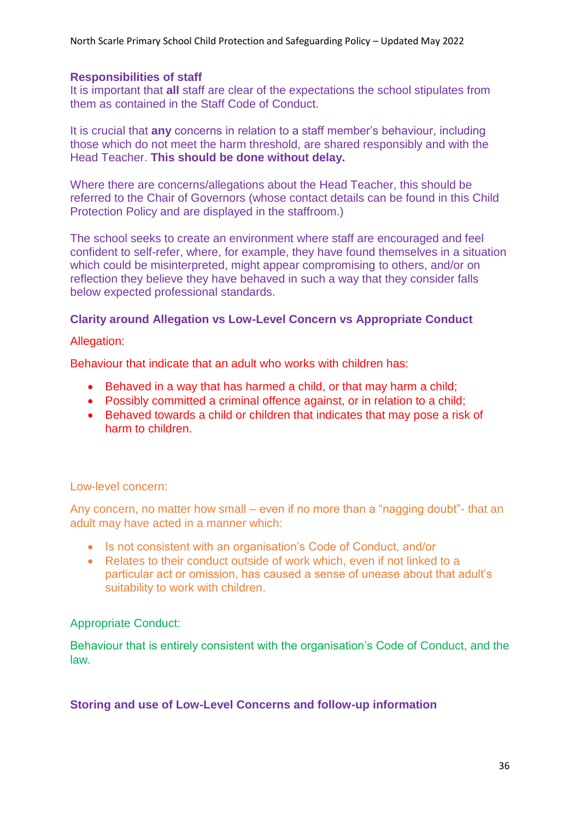North Scarle Primary School Child Protection and Safeguarding Policy – Updated May 2022

#### **Responsibilities of staff**

It is important that **all** staff are clear of the expectations the school stipulates from them as contained in the Staff Code of Conduct.

It is crucial that **any** concerns in relation to a staff member's behaviour, including those which do not meet the harm threshold, are shared responsibly and with the Head Teacher. **This should be done without delay.**

Where there are concerns/allegations about the Head Teacher, this should be referred to the Chair of Governors (whose contact details can be found in this Child Protection Policy and are displayed in the staffroom.)

The school seeks to create an environment where staff are encouraged and feel confident to self-refer, where, for example, they have found themselves in a situation which could be misinterpreted, might appear compromising to others, and/or on reflection they believe they have behaved in such a way that they consider falls below expected professional standards.

#### **Clarity around Allegation vs Low-Level Concern vs Appropriate Conduct**

#### Allegation:

Behaviour that indicate that an adult who works with children has:

- Behaved in a way that has harmed a child, or that may harm a child;
- Possibly committed a criminal offence against, or in relation to a child;
- Behaved towards a child or children that indicates that may pose a risk of harm to children.

#### Low-level concern:

Any concern, no matter how small – even if no more than a "nagging doubt"- that an adult may have acted in a manner which:

- Is not consistent with an organisation's Code of Conduct, and/or
- Relates to their conduct outside of work which, even if not linked to a particular act or omission, has caused a sense of unease about that adult's suitability to work with children.

#### Appropriate Conduct:

Behaviour that is entirely consistent with the organisation's Code of Conduct, and the law.

#### **Storing and use of Low-Level Concerns and follow-up information**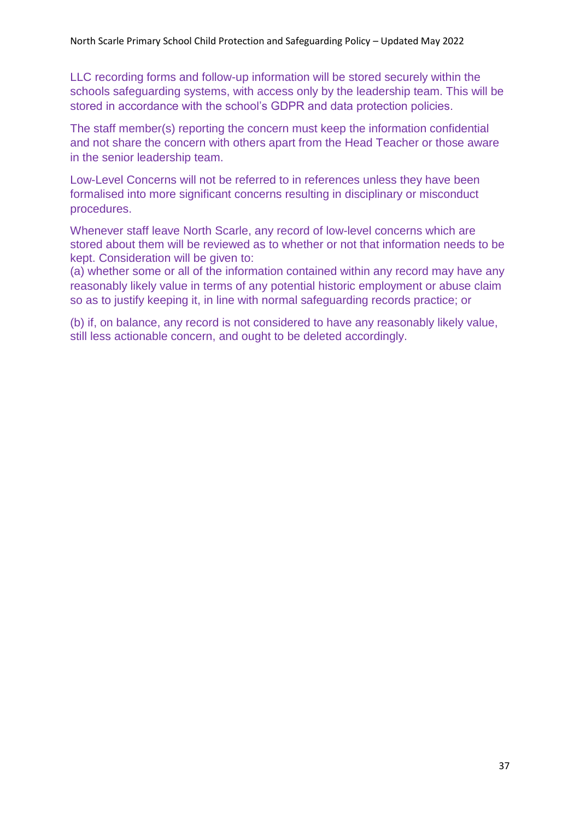LLC recording forms and follow-up information will be stored securely within the schools safeguarding systems, with access only by the leadership team. This will be stored in accordance with the school's GDPR and data protection policies.

The staff member(s) reporting the concern must keep the information confidential and not share the concern with others apart from the Head Teacher or those aware in the senior leadership team.

Low-Level Concerns will not be referred to in references unless they have been formalised into more significant concerns resulting in disciplinary or misconduct procedures.

Whenever staff leave North Scarle, any record of low-level concerns which are stored about them will be reviewed as to whether or not that information needs to be kept. Consideration will be given to:

(a) whether some or all of the information contained within any record may have any reasonably likely value in terms of any potential historic employment or abuse claim so as to justify keeping it, in line with normal safeguarding records practice; or

(b) if, on balance, any record is not considered to have any reasonably likely value, still less actionable concern, and ought to be deleted accordingly.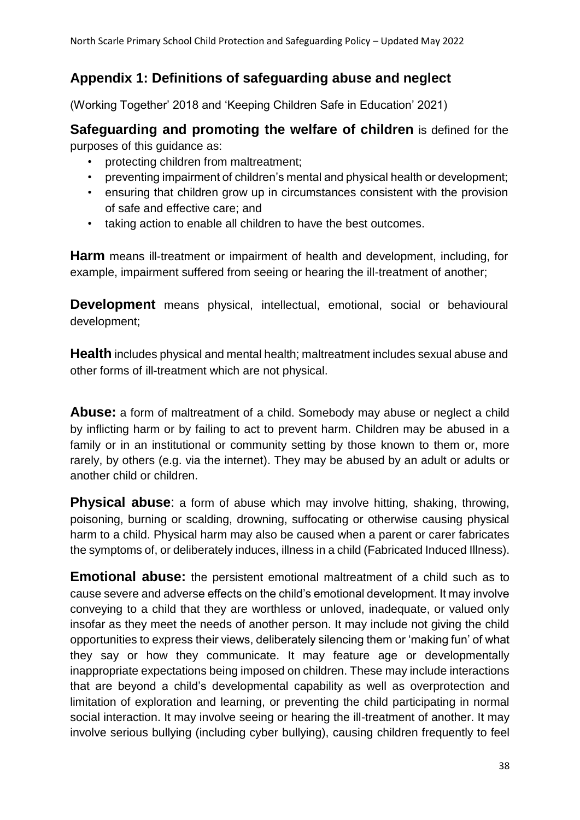# **Appendix 1: Definitions of safeguarding abuse and neglect**

(Working Together' 2018 and 'Keeping Children Safe in Education' 2021)

**Safeguarding and promoting the welfare of children** is defined for the purposes of this guidance as:

- protecting children from maltreatment;
- preventing impairment of children's mental and physical health or development;
- ensuring that children grow up in circumstances consistent with the provision of safe and effective care; and
- taking action to enable all children to have the best outcomes.

**Harm** means ill-treatment or impairment of health and development, including, for example, impairment suffered from seeing or hearing the ill-treatment of another;

**Development** means physical, intellectual, emotional, social or behavioural development;

**Health** includes physical and mental health; maltreatment includes sexual abuse and other forms of ill-treatment which are not physical.

**Abuse:** a form of maltreatment of a child. Somebody may abuse or neglect a child by inflicting harm or by failing to act to prevent harm. Children may be abused in a family or in an institutional or community setting by those known to them or, more rarely, by others (e.g. via the internet). They may be abused by an adult or adults or another child or children.

**Physical abuse:** a form of abuse which may involve hitting, shaking, throwing, poisoning, burning or scalding, drowning, suffocating or otherwise causing physical harm to a child. Physical harm may also be caused when a parent or carer fabricates the symptoms of, or deliberately induces, illness in a child (Fabricated Induced Illness).

**Emotional abuse:** the persistent emotional maltreatment of a child such as to cause severe and adverse effects on the child's emotional development. It may involve conveying to a child that they are worthless or unloved, inadequate, or valued only insofar as they meet the needs of another person. It may include not giving the child opportunities to express their views, deliberately silencing them or 'making fun' of what they say or how they communicate. It may feature age or developmentally inappropriate expectations being imposed on children. These may include interactions that are beyond a child's developmental capability as well as overprotection and limitation of exploration and learning, or preventing the child participating in normal social interaction. It may involve seeing or hearing the ill-treatment of another. It may involve serious bullying (including cyber bullying), causing children frequently to feel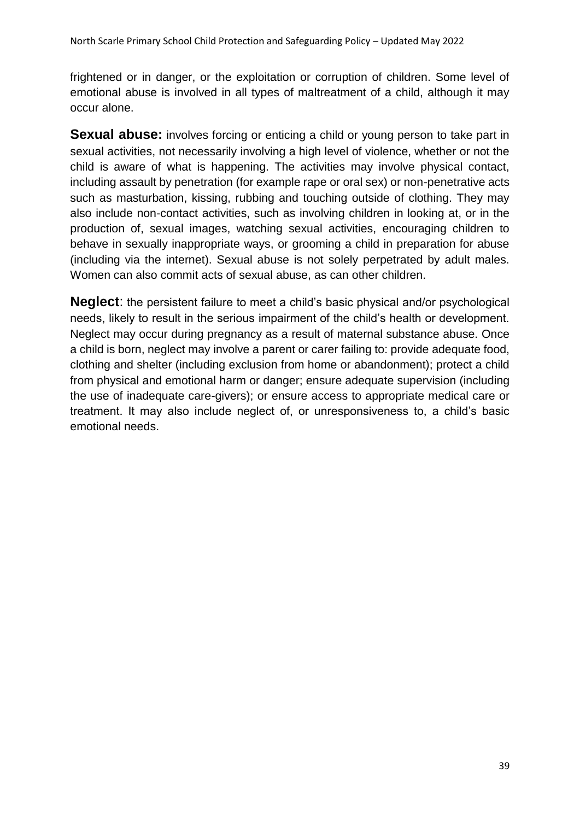frightened or in danger, or the exploitation or corruption of children. Some level of emotional abuse is involved in all types of maltreatment of a child, although it may occur alone.

**Sexual abuse:** involves forcing or enticing a child or young person to take part in sexual activities, not necessarily involving a high level of violence, whether or not the child is aware of what is happening. The activities may involve physical contact, including assault by penetration (for example rape or oral sex) or non-penetrative acts such as masturbation, kissing, rubbing and touching outside of clothing. They may also include non-contact activities, such as involving children in looking at, or in the production of, sexual images, watching sexual activities, encouraging children to behave in sexually inappropriate ways, or grooming a child in preparation for abuse (including via the internet). Sexual abuse is not solely perpetrated by adult males. Women can also commit acts of sexual abuse, as can other children.

**Neglect**: the persistent failure to meet a child's basic physical and/or psychological needs, likely to result in the serious impairment of the child's health or development. Neglect may occur during pregnancy as a result of maternal substance abuse. Once a child is born, neglect may involve a parent or carer failing to: provide adequate food, clothing and shelter (including exclusion from home or abandonment); protect a child from physical and emotional harm or danger; ensure adequate supervision (including the use of inadequate care-givers); or ensure access to appropriate medical care or treatment. It may also include neglect of, or unresponsiveness to, a child's basic emotional needs.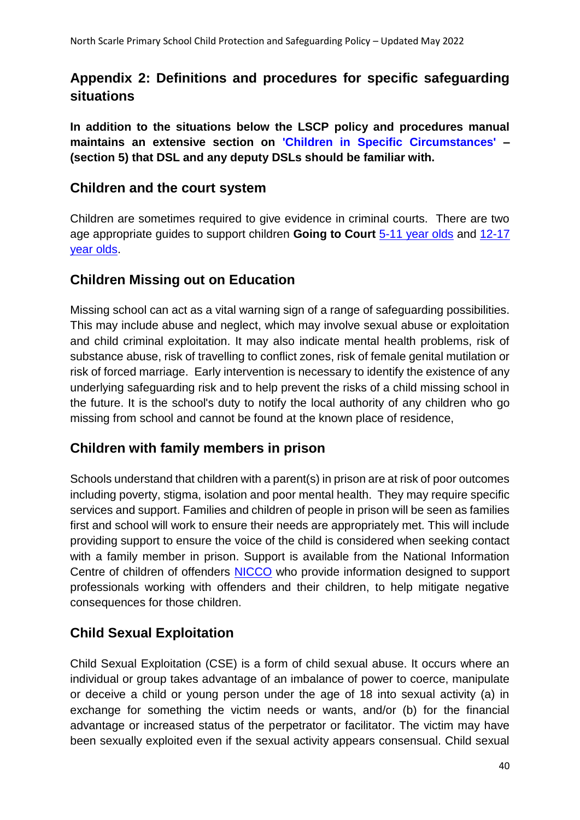# **Appendix 2: Definitions and procedures for specific safeguarding situations**

**In addition to the situations below the LSCP policy and procedures manual maintains an extensive section on ['Children in Specific Circumstances'](https://lincolnshirescb.proceduresonline.com/chapters/contents.html#d) – (section 5) that DSL and any deputy DSLs should be familiar with.**

### **Children and the court system**

Children are sometimes required to give evidence in criminal courts. There are two age appropriate guides to support children **Going to Court** [5-11 year olds](https://www.gov.uk/government/publications/young-witness-booklet-for-5-to-11-year-olds) and [12-17](https://www.gov.uk/government/publications/young-witness-booklet-for-12-to-17-year-olds)  [year olds.](https://www.gov.uk/government/publications/young-witness-booklet-for-12-to-17-year-olds)

### **Children Missing out on Education**

Missing school can act as a vital warning sign of a range of safeguarding possibilities. This may include abuse and neglect, which may involve sexual abuse or exploitation and child criminal exploitation. It may also indicate mental health problems, risk of substance abuse, risk of travelling to conflict zones, risk of female genital mutilation or risk of forced marriage. Early intervention is necessary to identify the existence of any underlying safeguarding risk and to help prevent the risks of a child missing school in the future. It is the school's duty to notify the local authority of any children who go missing from school and cannot be found at the known place of residence,

### **Children with family members in prison**

Schools understand that children with a parent(s) in prison are at risk of poor outcomes including poverty, stigma, isolation and poor mental health. They may require specific services and support. Families and children of people in prison will be seen as families first and school will work to ensure their needs are appropriately met. This will include providing support to ensure the voice of the child is considered when seeking contact with a family member in prison. Support is available from the National Information Centre of children of offenders [NICCO](https://www.nicco.org.uk/) who provide information designed to support professionals working with offenders and their children, to help mitigate negative consequences for those children.

### **Child Sexual Exploitation**

Child Sexual Exploitation (CSE) is a form of child sexual abuse. It occurs where an individual or group takes advantage of an imbalance of power to coerce, manipulate or deceive a child or young person under the age of 18 into sexual activity (a) in exchange for something the victim needs or wants, and/or (b) for the financial advantage or increased status of the perpetrator or facilitator. The victim may have been sexually exploited even if the sexual activity appears consensual. Child sexual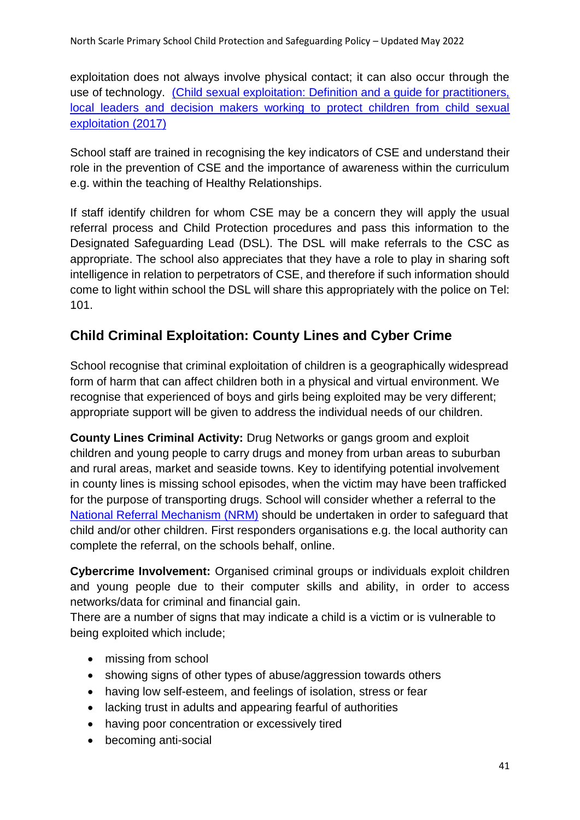exploitation does not always involve physical contact; it can also occur through the use of technology. [\(Child sexual exploitation: Definition and a guide for practitioners,](https://www.gov.uk/government/publications/child-sexual-exploitation-definition-and-guide-for-practitioners)  [local leaders and decision makers working to protect children from child sexual](https://www.gov.uk/government/publications/child-sexual-exploitation-definition-and-guide-for-practitioners)  [exploitation \(2017\)](https://www.gov.uk/government/publications/child-sexual-exploitation-definition-and-guide-for-practitioners)

School staff are trained in recognising the key indicators of CSE and understand their role in the prevention of CSE and the importance of awareness within the curriculum e.g. within the teaching of Healthy Relationships.

If staff identify children for whom CSE may be a concern they will apply the usual referral process and Child Protection procedures and pass this information to the Designated Safeguarding Lead (DSL). The DSL will make referrals to the CSC as appropriate. The school also appreciates that they have a role to play in sharing soft intelligence in relation to perpetrators of CSE, and therefore if such information should come to light within school the DSL will share this appropriately with the police on Tel: 101.

# **Child Criminal Exploitation: County Lines and Cyber Crime**

School recognise that criminal exploitation of children is a geographically widespread form of harm that can affect children both in a physical and virtual environment. We recognise that experienced of boys and girls being exploited may be very different; appropriate support will be given to address the individual needs of our children.

**County Lines Criminal Activity:** Drug Networks or gangs groom and exploit children and young people to carry drugs and money from urban areas to suburban and rural areas, market and seaside towns. Key to identifying potential involvement in county lines is missing school episodes, when the victim may have been trafficked for the purpose of transporting drugs. School will consider whether a referral to the [National Referral Mechanism \(NRM\)](https://www.gov.uk/government/publications/human-trafficking-victims-referral-and-assessment-forms/guidance-on-the-national-referral-mechanism-for-potential-adult-victims-of-modern-slavery-england-and-wales) should be undertaken in order to safeguard that child and/or other children. First responders organisations e.g. the local authority can complete the referral, on the schools behalf, online.

**Cybercrime Involvement:** Organised criminal groups or individuals exploit children and young people due to their computer skills and ability, in order to access networks/data for criminal and financial gain.

There are a number of signs that may indicate a child is a victim or is vulnerable to being exploited which include;

- missing from school
- showing signs of other types of abuse/aggression towards others
- having low self-esteem, and feelings of isolation, stress or fear
- lacking trust in adults and appearing fearful of authorities
- having poor concentration or excessively tired
- becoming anti-social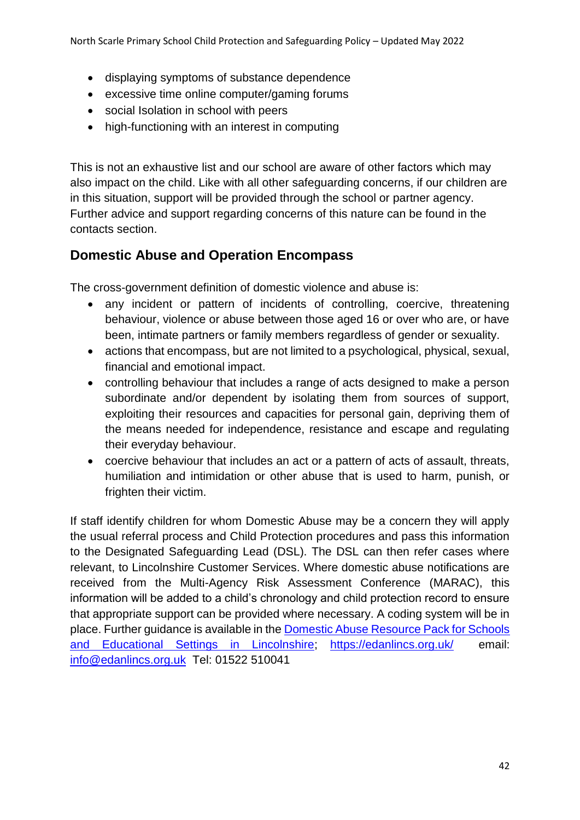- displaying symptoms of substance dependence
- excessive time online computer/gaming forums
- social Isolation in school with peers
- high-functioning with an interest in computing

This is not an exhaustive list and our school are aware of other factors which may also impact on the child. Like with all other safeguarding concerns, if our children are in this situation, support will be provided through the school or partner agency. Further advice and support regarding concerns of this nature can be found in the contacts section.

### **Domestic Abuse and Operation Encompass**

The cross-government definition of domestic violence and abuse is:

- any incident or pattern of incidents of controlling, coercive, threatening behaviour, violence or abuse between those aged 16 or over who are, or have been, intimate partners or family members regardless of gender or sexuality.
- actions that encompass, but are not limited to a psychological, physical, sexual, financial and emotional impact.
- controlling behaviour that includes a range of acts designed to make a person subordinate and/or dependent by isolating them from sources of support, exploiting their resources and capacities for personal gain, depriving them of the means needed for independence, resistance and escape and regulating their everyday behaviour.
- coercive behaviour that includes an act or a pattern of acts of assault, threats, humiliation and intimidation or other abuse that is used to harm, punish, or frighten their victim.

If staff identify children for whom Domestic Abuse may be a concern they will apply the usual referral process and Child Protection procedures and pass this information to the Designated Safeguarding Lead (DSL). The DSL can then refer cases where relevant, to Lincolnshire Customer Services. Where domestic abuse notifications are received from the Multi-Agency Risk Assessment Conference (MARAC), this information will be added to a child's chronology and child protection record to ensure that appropriate support can be provided where necessary. A coding system will be in place. Further guidance is available in th[e Domestic Abuse Resource Pack for Schools](file:///C:/Users/Nichola.Burgess/AppData/Local/Microsoft/Windows/INetCache/Content.Outlook/ZKIJZNUF/Domestic%20Abuse%20Resource%20Pack%20for%20Schools%20and%20Educational%20Settings%20in%20Lincolnshire)  [and Educational Settings in Lincolnshire;](file:///C:/Users/Nichola.Burgess/AppData/Local/Microsoft/Windows/INetCache/Content.Outlook/ZKIJZNUF/Domestic%20Abuse%20Resource%20Pack%20for%20Schools%20and%20Educational%20Settings%20in%20Lincolnshire) <https://edanlincs.org.uk/>email: [info@edanlincs.org.uk](mailto:info@edanlincs.org.uk) Tel: 01522 510041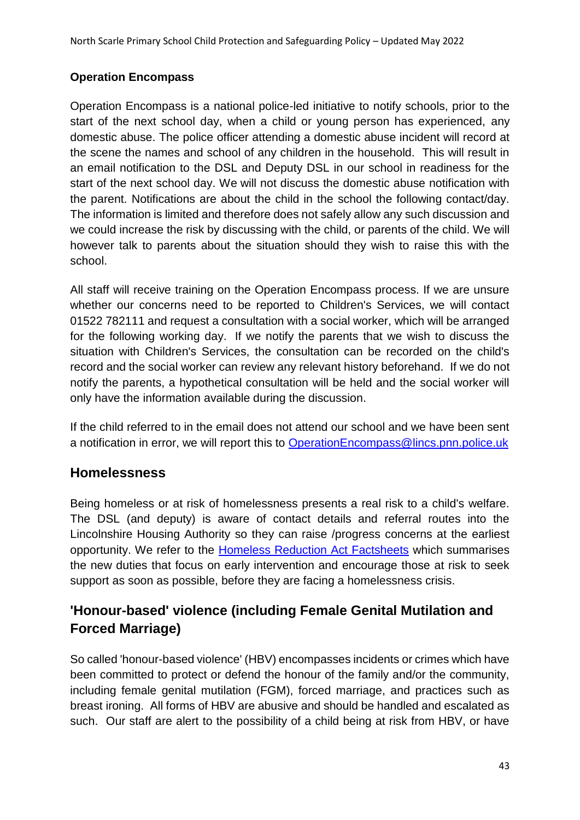### **Operation Encompass**

Operation Encompass is a national police-led initiative to notify schools, prior to the start of the next school day, when a child or young person has experienced, any domestic abuse. The police officer attending a domestic abuse incident will record at the scene the names and school of any children in the household. This will result in an email notification to the DSL and Deputy DSL in our school in readiness for the start of the next school day. We will not discuss the domestic abuse notification with the parent. Notifications are about the child in the school the following contact/day. The information is limited and therefore does not safely allow any such discussion and we could increase the risk by discussing with the child, or parents of the child. We will however talk to parents about the situation should they wish to raise this with the school.

All staff will receive training on the Operation Encompass process. If we are unsure whether our concerns need to be reported to Children's Services, we will contact 01522 782111 and request a consultation with a social worker, which will be arranged for the following working day. If we notify the parents that we wish to discuss the situation with Children's Services, the consultation can be recorded on the child's record and the social worker can review any relevant history beforehand. If we do not notify the parents, a hypothetical consultation will be held and the social worker will only have the information available during the discussion.

If the child referred to in the email does not attend our school and we have been sent a notification in error, we will report this to [OperationEncompass@lincs.pnn.police.uk](mailto:OperationEncompass@lincs.pnn.police.uk)

### **Homelessness**

Being homeless or at risk of homelessness presents a real risk to a child's welfare. The DSL (and deputy) is aware of contact details and referral routes into the Lincolnshire Housing Authority so they can raise /progress concerns at the earliest opportunity. We refer to the [Homeless Reduction Act Factsheets](https://www.gov.uk/government/publications/homelessness-reduction-bill-policy-factsheets) which summarises the new duties that focus on early intervention and encourage those at risk to seek support as soon as possible, before they are facing a homelessness crisis.

# **'Honour-based' violence (including Female Genital Mutilation and Forced Marriage)**

So called 'honour-based violence' (HBV) encompasses incidents or crimes which have been committed to protect or defend the honour of the family and/or the community, including female genital mutilation (FGM), forced marriage, and practices such as breast ironing. All forms of HBV are abusive and should be handled and escalated as such. Our staff are alert to the possibility of a child being at risk from HBV, or have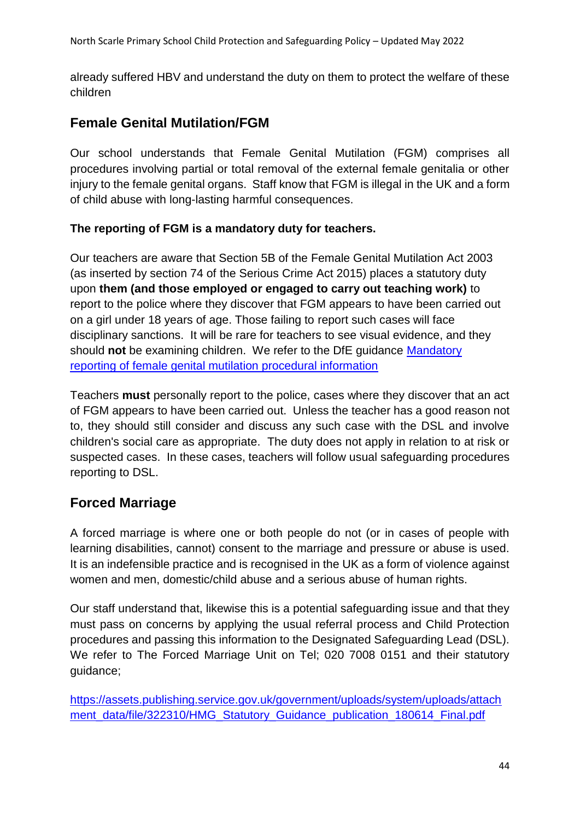already suffered HBV and understand the duty on them to protect the welfare of these children

# **Female Genital Mutilation/FGM**

Our school understands that Female Genital Mutilation (FGM) comprises all procedures involving partial or total removal of the external female genitalia or other injury to the female genital organs. Staff know that FGM is illegal in the UK and a form of child abuse with long-lasting harmful consequences.

### **The reporting of FGM is a mandatory duty for teachers.**

Our teachers are aware that Section 5B of the Female Genital Mutilation Act 2003 (as inserted by section 74 of the Serious Crime Act 2015) places a statutory duty upon **them (and those employed or engaged to carry out teaching work)** to report to the police where they discover that FGM appears to have been carried out on a girl under 18 years of age. Those failing to report such cases will face disciplinary sanctions. It will be rare for teachers to see visual evidence, and they should **not** be examining children. We refer to the DfE guidance [Mandatory](https://www.gov.uk/government/publications/mandatory-reporting-of-female-genital-mutilation-procedural-information)  [reporting of female genital mutilation procedural information](https://www.gov.uk/government/publications/mandatory-reporting-of-female-genital-mutilation-procedural-information)

Teachers **must** personally report to the police, cases where they discover that an act of FGM appears to have been carried out. Unless the teacher has a good reason not to, they should still consider and discuss any such case with the DSL and involve children's social care as appropriate. The duty does not apply in relation to at risk or suspected cases. In these cases, teachers will follow usual safeguarding procedures reporting to DSL.

### **Forced Marriage**

A forced marriage is where one or both people do not (or in cases of people with learning disabilities, cannot) consent to the marriage and pressure or abuse is used. It is an indefensible practice and is recognised in the UK as a form of violence against women and men, domestic/child abuse and a serious abuse of human rights.

Our staff understand that, likewise this is a potential safeguarding issue and that they must pass on concerns by applying the usual referral process and Child Protection procedures and passing this information to the Designated Safeguarding Lead (DSL). We refer to The Forced Marriage Unit on Tel; 020 7008 0151 and their statutory guidance;

[https://assets.publishing.service.gov.uk/government/uploads/system/uploads/attach](https://assets.publishing.service.gov.uk/government/uploads/system/uploads/attachment_data/file/322310/HMG_Statutory_Guidance_publication_180614_Final.pdf) ment\_data/file/322310/HMG\_Statutory\_Guidance\_publication\_180614\_Final.pdf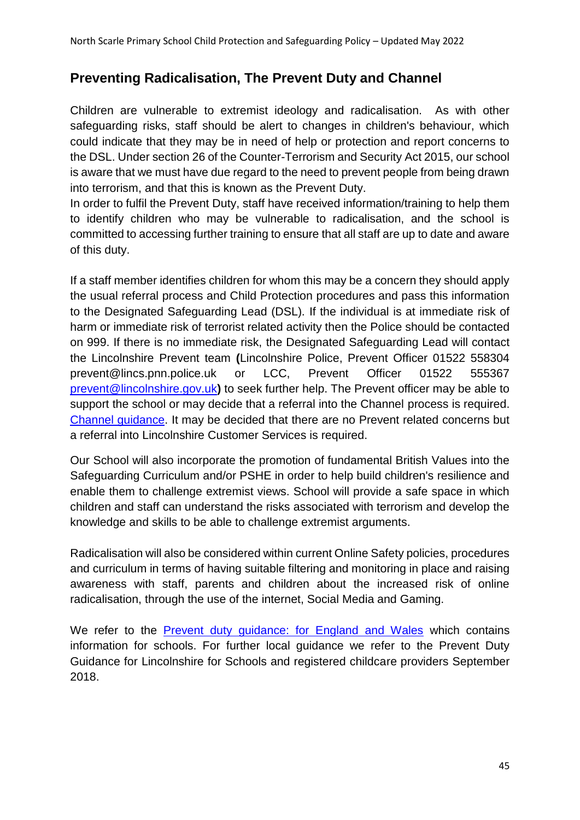## **Preventing Radicalisation, The Prevent Duty and Channel**

Children are vulnerable to extremist ideology and radicalisation. As with other safeguarding risks, staff should be alert to changes in children's behaviour, which could indicate that they may be in need of help or protection and report concerns to the DSL. Under section 26 of the Counter-Terrorism and Security Act 2015, our school is aware that we must have due regard to the need to prevent people from being drawn into terrorism, and that this is known as the Prevent Duty.

In order to fulfil the Prevent Duty, staff have received information/training to help them to identify children who may be vulnerable to radicalisation, and the school is committed to accessing further training to ensure that all staff are up to date and aware of this duty.

If a staff member identifies children for whom this may be a concern they should apply the usual referral process and Child Protection procedures and pass this information to the Designated Safeguarding Lead (DSL). If the individual is at immediate risk of harm or immediate risk of terrorist related activity then the Police should be contacted on 999. If there is no immediate risk, the Designated Safeguarding Lead will contact the Lincolnshire Prevent team **(**Lincolnshire Police, Prevent Officer 01522 558304 prevent@lincs.pnn.police.uk or LCC, Prevent Officer 01522 555367 [prevent@lincolnshire.gov.uk](mailto:prevent@lincolnshire.gov.uk)**)** to seek further help. The Prevent officer may be able to support the school or may decide that a referral into the Channel process is required. [Channel guidance.](https://www.gov.uk/government/publications/channel-guidance) It may be decided that there are no Prevent related concerns but a referral into Lincolnshire Customer Services is required.

Our School will also incorporate the promotion of fundamental British Values into the Safeguarding Curriculum and/or PSHE in order to help build children's resilience and enable them to challenge extremist views. School will provide a safe space in which children and staff can understand the risks associated with terrorism and develop the knowledge and skills to be able to challenge extremist arguments.

Radicalisation will also be considered within current Online Safety policies, procedures and curriculum in terms of having suitable filtering and monitoring in place and raising awareness with staff, parents and children about the increased risk of online radicalisation, through the use of the internet, Social Media and Gaming.

We refer to the Prevent duty quidance: for England and Wales which contains information for schools. For further local guidance we refer to the Prevent Duty Guidance for Lincolnshire for Schools and registered childcare providers September 2018.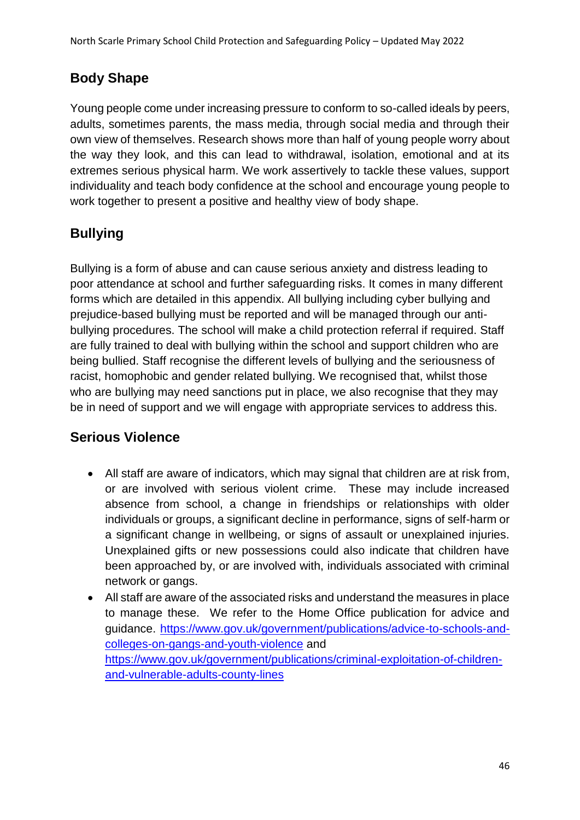# **Body Shape**

Young people come under increasing pressure to conform to so-called ideals by peers, adults, sometimes parents, the mass media, through social media and through their own view of themselves. Research shows more than half of young people worry about the way they look, and this can lead to withdrawal, isolation, emotional and at its extremes serious physical harm. We work assertively to tackle these values, support individuality and teach body confidence at the school and encourage young people to work together to present a positive and healthy view of body shape.

# **Bullying**

Bullying is a form of abuse and can cause serious anxiety and distress leading to poor attendance at school and further safeguarding risks. It comes in many different forms which are detailed in this appendix. All bullying including cyber bullying and prejudice-based bullying must be reported and will be managed through our antibullying procedures. The school will make a child protection referral if required. Staff are fully trained to deal with bullying within the school and support children who are being bullied. Staff recognise the different levels of bullying and the seriousness of racist, homophobic and gender related bullying. We recognised that, whilst those who are bullying may need sanctions put in place, we also recognise that they may be in need of support and we will engage with appropriate services to address this.

# **Serious Violence**

- All staff are aware of indicators, which may signal that children are at risk from, or are involved with serious violent crime. These may include increased absence from school, a change in friendships or relationships with older individuals or groups, a significant decline in performance, signs of self-harm or a significant change in wellbeing, or signs of assault or unexplained injuries. Unexplained gifts or new possessions could also indicate that children have been approached by, or are involved with, individuals associated with criminal network or gangs.
- All staff are aware of the associated risks and understand the measures in place to manage these. We refer to the Home Office publication for advice and guidance. [https://www.gov.uk/government/publications/advice-to-schools-and](https://www.gov.uk/government/publications/advice-to-schools-and-colleges-on-gangs-and-youth-violence)[colleges-on-gangs-and-youth-violence](https://www.gov.uk/government/publications/advice-to-schools-and-colleges-on-gangs-and-youth-violence) and [https://www.gov.uk/government/publications/criminal-exploitation-of-children](https://www.gov.uk/government/publications/criminal-exploitation-of-children-and-vulnerable-adults-county-lines)[and-vulnerable-adults-county-lines](https://www.gov.uk/government/publications/criminal-exploitation-of-children-and-vulnerable-adults-county-lines)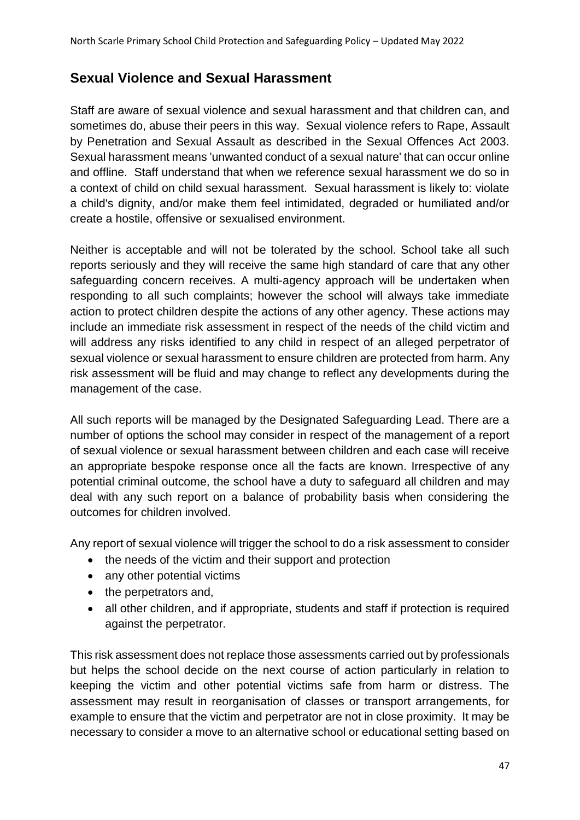### **Sexual Violence and Sexual Harassment**

Staff are aware of sexual violence and sexual harassment and that children can, and sometimes do, abuse their peers in this way. Sexual violence refers to Rape, Assault by Penetration and Sexual Assault as described in the Sexual Offences Act 2003. Sexual harassment means 'unwanted conduct of a sexual nature' that can occur online and offline. Staff understand that when we reference sexual harassment we do so in a context of child on child sexual harassment. Sexual harassment is likely to: violate a child's dignity, and/or make them feel intimidated, degraded or humiliated and/or create a hostile, offensive or sexualised environment.

Neither is acceptable and will not be tolerated by the school. School take all such reports seriously and they will receive the same high standard of care that any other safeguarding concern receives. A multi-agency approach will be undertaken when responding to all such complaints; however the school will always take immediate action to protect children despite the actions of any other agency. These actions may include an immediate risk assessment in respect of the needs of the child victim and will address any risks identified to any child in respect of an alleged perpetrator of sexual violence or sexual harassment to ensure children are protected from harm. Any risk assessment will be fluid and may change to reflect any developments during the management of the case.

All such reports will be managed by the Designated Safeguarding Lead. There are a number of options the school may consider in respect of the management of a report of sexual violence or sexual harassment between children and each case will receive an appropriate bespoke response once all the facts are known. Irrespective of any potential criminal outcome, the school have a duty to safeguard all children and may deal with any such report on a balance of probability basis when considering the outcomes for children involved.

Any report of sexual violence will trigger the school to do a risk assessment to consider

- the needs of the victim and their support and protection
- any other potential victims
- the perpetrators and,
- all other children, and if appropriate, students and staff if protection is required against the perpetrator.

This risk assessment does not replace those assessments carried out by professionals but helps the school decide on the next course of action particularly in relation to keeping the victim and other potential victims safe from harm or distress. The assessment may result in reorganisation of classes or transport arrangements, for example to ensure that the victim and perpetrator are not in close proximity. It may be necessary to consider a move to an alternative school or educational setting based on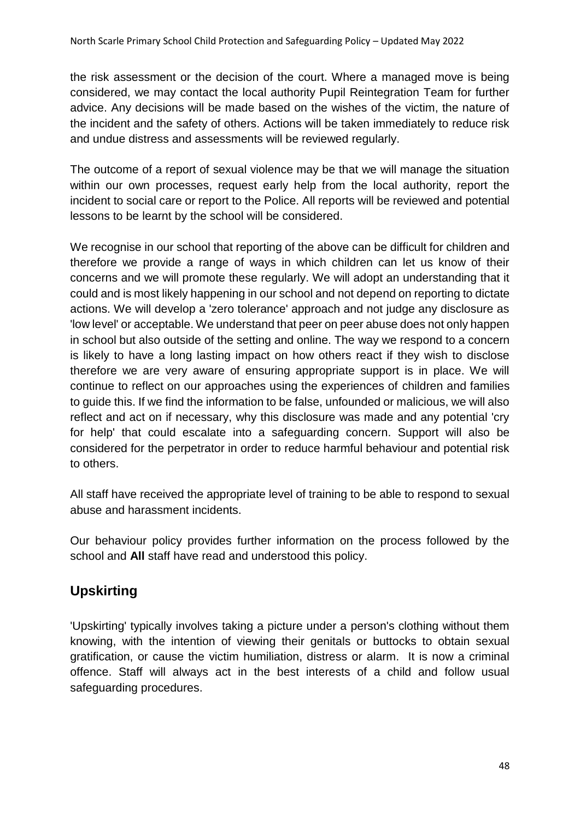the risk assessment or the decision of the court. Where a managed move is being considered, we may contact the local authority Pupil Reintegration Team for further advice. Any decisions will be made based on the wishes of the victim, the nature of the incident and the safety of others. Actions will be taken immediately to reduce risk and undue distress and assessments will be reviewed regularly.

The outcome of a report of sexual violence may be that we will manage the situation within our own processes, request early help from the local authority, report the incident to social care or report to the Police. All reports will be reviewed and potential lessons to be learnt by the school will be considered.

We recognise in our school that reporting of the above can be difficult for children and therefore we provide a range of ways in which children can let us know of their concerns and we will promote these regularly. We will adopt an understanding that it could and is most likely happening in our school and not depend on reporting to dictate actions. We will develop a 'zero tolerance' approach and not judge any disclosure as 'low level' or acceptable. We understand that peer on peer abuse does not only happen in school but also outside of the setting and online. The way we respond to a concern is likely to have a long lasting impact on how others react if they wish to disclose therefore we are very aware of ensuring appropriate support is in place. We will continue to reflect on our approaches using the experiences of children and families to guide this. If we find the information to be false, unfounded or malicious, we will also reflect and act on if necessary, why this disclosure was made and any potential 'cry for help' that could escalate into a safeguarding concern. Support will also be considered for the perpetrator in order to reduce harmful behaviour and potential risk to others.

All staff have received the appropriate level of training to be able to respond to sexual abuse and harassment incidents.

Our behaviour policy provides further information on the process followed by the school and **All** staff have read and understood this policy.

# **Upskirting**

'Upskirting' typically involves taking a picture under a person's clothing without them knowing, with the intention of viewing their genitals or buttocks to obtain sexual gratification, or cause the victim humiliation, distress or alarm. It is now a criminal offence. Staff will always act in the best interests of a child and follow usual safeguarding procedures.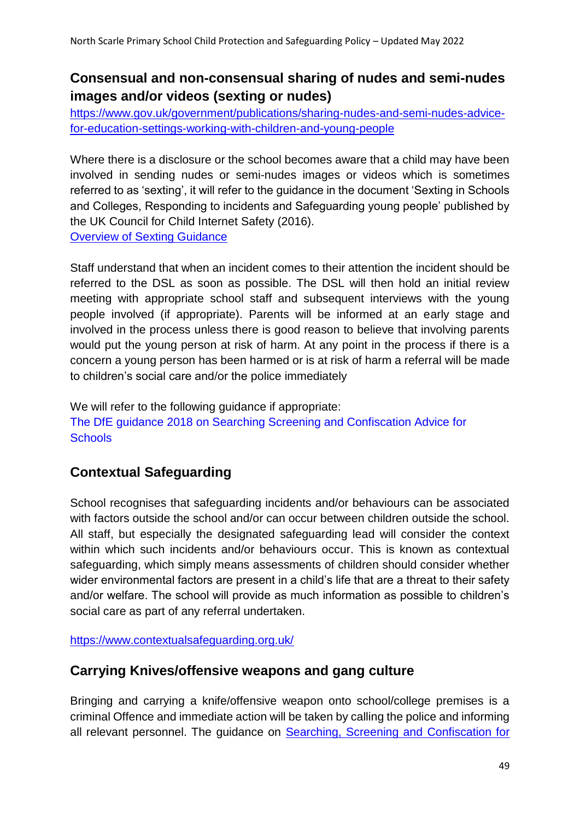# **Consensual and non-consensual sharing of nudes and semi-nudes images and/or videos (sexting or nudes)**

[https://www.gov.uk/government/publications/sharing-nudes-and-semi-nudes-advice](https://www.gov.uk/government/publications/sharing-nudes-and-semi-nudes-advice-for-education-settings-working-with-children-and-young-people)[for-education-settings-working-with-children-and-young-people](https://www.gov.uk/government/publications/sharing-nudes-and-semi-nudes-advice-for-education-settings-working-with-children-and-young-people)

Where there is a disclosure or the school becomes aware that a child may have been involved in sending nudes or semi-nudes images or videos which is sometimes referred to as 'sexting', it will refer to the guidance in the document 'Sexting in Schools and Colleges, Responding to incidents and Safeguarding young people' published by the UK Council for Child Internet Safety (2016). [Overview of Sexting Guidance](https://assets.publishing.service.gov.uk/government/uploads/system/uploads/attachment_data/file/647389/Overview_of_Sexting_Guidance.pdf)

Staff understand that when an incident comes to their attention the incident should be referred to the DSL as soon as possible. The DSL will then hold an initial review meeting with appropriate school staff and subsequent interviews with the young people involved (if appropriate). Parents will be informed at an early stage and involved in the process unless there is good reason to believe that involving parents would put the young person at risk of harm. At any point in the process if there is a concern a young person has been harmed or is at risk of harm a referral will be made to children's social care and/or the police immediately

We will refer to the following guidance if appropriate: [The DfE guidance 2018 on Searching Screening and Confiscation Advice for](https://www.gov.uk/government/publications/searching-screening-and-confiscation)  **[Schools](https://www.gov.uk/government/publications/searching-screening-and-confiscation)** 

# **Contextual Safeguarding**

School recognises that safeguarding incidents and/or behaviours can be associated with factors outside the school and/or can occur between children outside the school. All staff, but especially the designated safeguarding lead will consider the context within which such incidents and/or behaviours occur. This is known as contextual safeguarding, which simply means assessments of children should consider whether wider environmental factors are present in a child's life that are a threat to their safety and/or welfare. The school will provide as much information as possible to children's social care as part of any referral undertaken.

<https://www.contextualsafeguarding.org.uk/>

### **Carrying Knives/offensive weapons and gang culture**

Bringing and carrying a knife/offensive weapon onto school/college premises is a criminal Offence and immediate action will be taken by calling the police and informing all relevant personnel. The guidance on [Searching, Screening and Confiscation for](https://assets.publishing.service.gov.uk/government/uploads/system/uploads/attachment_data/file/674416/Searching_screening_and_confiscation.pdf)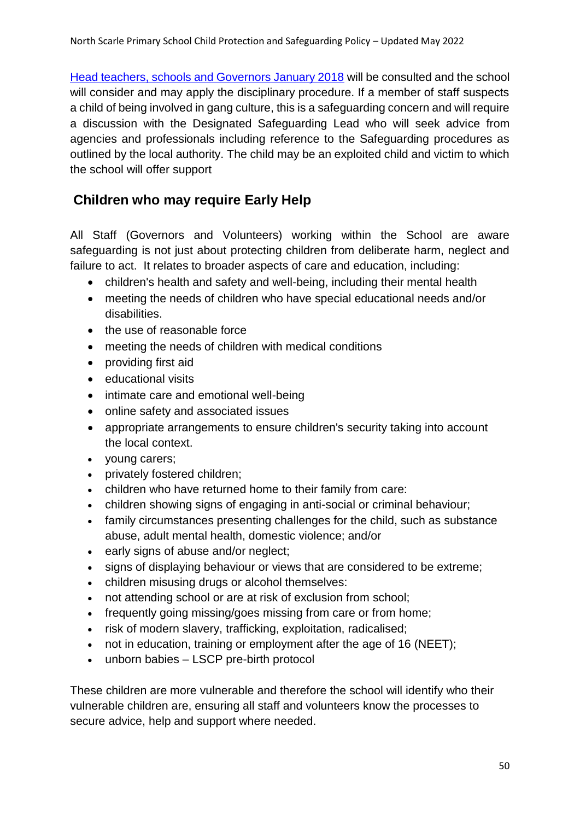[Head teachers, schools and Governors January 2018](https://assets.publishing.service.gov.uk/government/uploads/system/uploads/attachment_data/file/674416/Searching_screening_and_confiscation.pdf) will be consulted and the school will consider and may apply the disciplinary procedure. If a member of staff suspects a child of being involved in gang culture, this is a safeguarding concern and will require a discussion with the Designated Safeguarding Lead who will seek advice from agencies and professionals including reference to the Safeguarding procedures as outlined by the local authority. The child may be an exploited child and victim to which the school will offer support

## **Children who may require Early Help**

All Staff (Governors and Volunteers) working within the School are aware safeguarding is not just about protecting children from deliberate harm, neglect and failure to act. It relates to broader aspects of care and education, including:

- children's health and safety and well-being, including their mental health
- meeting the needs of children who have special educational needs and/or disabilities.
- the use of reasonable force
- meeting the needs of children with medical conditions
- providing first aid
- educational visits
- intimate care and emotional well-being
- online safety and associated issues
- appropriate arrangements to ensure children's security taking into account the local context.
- young carers;
- privately fostered children;
- children who have returned home to their family from care:
- children showing signs of engaging in anti-social or criminal behaviour;
- family circumstances presenting challenges for the child, such as substance abuse, adult mental health, domestic violence; and/or
- early signs of abuse and/or neglect:
- signs of displaying behaviour or views that are considered to be extreme;
- children misusing drugs or alcohol themselves:
- not attending school or are at risk of exclusion from school;
- frequently going missing/goes missing from care or from home;
- risk of modern slavery, trafficking, exploitation, radicalised;
- not in education, training or employment after the age of 16 (NEET);
- unborn babies LSCP pre-birth protocol

These children are more vulnerable and therefore the school will identify who their vulnerable children are, ensuring all staff and volunteers know the processes to secure advice, help and support where needed.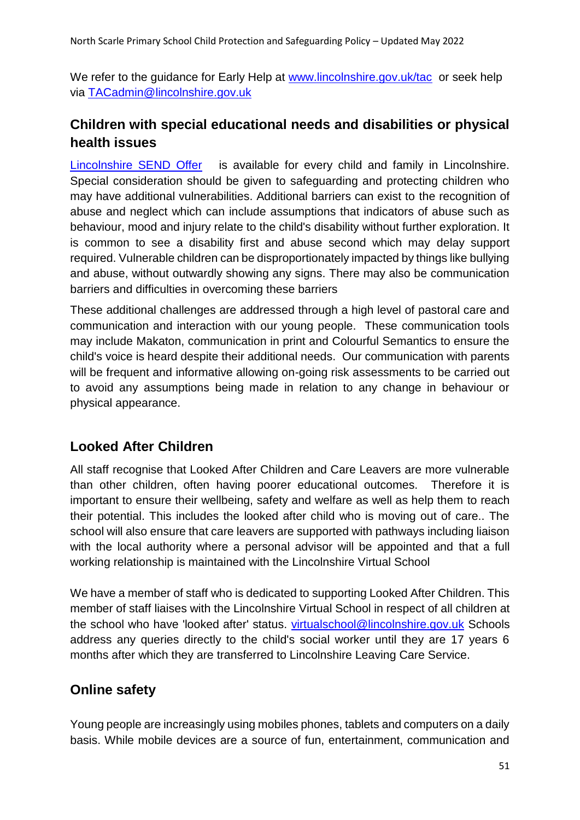We refer to the guidance for Early Help at [www.lincolnshire.gov.uk/tac](http://www.lincolnshire.gov.uk/tac) or seek help via [TACadmin@lincolnshire.gov.uk](mailto:TACadmin@lincolnshire.gov.uk)

# **Children with special educational needs and disabilities or physical health issues**

[Lincolnshire SEND Offer](https://www.lincolnshire.gov.uk/send-local-offer) is available for every child and family in Lincolnshire. Special consideration should be given to safeguarding and protecting children who may have additional vulnerabilities. Additional barriers can exist to the recognition of abuse and neglect which can include assumptions that indicators of abuse such as behaviour, mood and injury relate to the child's disability without further exploration. It is common to see a disability first and abuse second which may delay support required. Vulnerable children can be disproportionately impacted by things like bullying and abuse, without outwardly showing any signs. There may also be communication barriers and difficulties in overcoming these barriers

These additional challenges are addressed through a high level of pastoral care and communication and interaction with our young people. These communication tools may include Makaton, communication in print and Colourful Semantics to ensure the child's voice is heard despite their additional needs. Our communication with parents will be frequent and informative allowing on-going risk assessments to be carried out to avoid any assumptions being made in relation to any change in behaviour or physical appearance.

### **Looked After Children**

All staff recognise that Looked After Children and Care Leavers are more vulnerable than other children, often having poorer educational outcomes. Therefore it is important to ensure their wellbeing, safety and welfare as well as help them to reach their potential. This includes the looked after child who is moving out of care.. The school will also ensure that care leavers are supported with pathways including liaison with the local authority where a personal advisor will be appointed and that a full working relationship is maintained with the Lincolnshire Virtual School

We have a member of staff who is dedicated to supporting Looked After Children. This member of staff liaises with the Lincolnshire Virtual School in respect of all children at the school who have 'looked after' status. [virtualschool@lincolnshire.gov.uk](mailto:virtualschool@lincolnshire.gov.uk) Schools address any queries directly to the child's social worker until they are 17 years 6 months after which they are transferred to Lincolnshire Leaving Care Service.

# **Online safety**

Young people are increasingly using mobiles phones, tablets and computers on a daily basis. While mobile devices are a source of fun, entertainment, communication and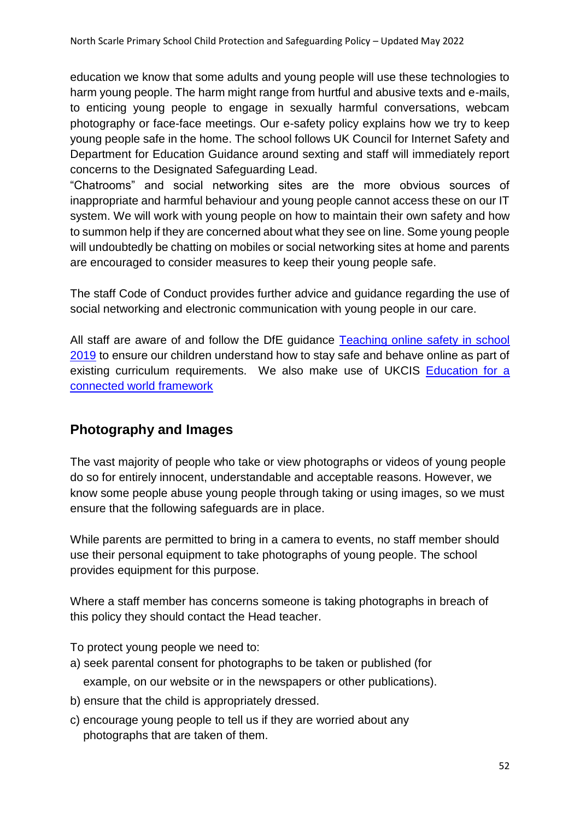education we know that some adults and young people will use these technologies to harm young people. The harm might range from hurtful and abusive texts and e-mails, to enticing young people to engage in sexually harmful conversations, webcam photography or face-face meetings. Our e-safety policy explains how we try to keep young people safe in the home. The school follows UK Council for Internet Safety and Department for Education Guidance around sexting and staff will immediately report concerns to the Designated Safeguarding Lead.

"Chatrooms" and social networking sites are the more obvious sources of inappropriate and harmful behaviour and young people cannot access these on our IT system. We will work with young people on how to maintain their own safety and how to summon help if they are concerned about what they see on line. Some young people will undoubtedly be chatting on mobiles or social networking sites at home and parents are encouraged to consider measures to keep their young people safe.

The staff Code of Conduct provides further advice and guidance regarding the use of social networking and electronic communication with young people in our care.

All staff are aware of and follow the DfE guidance [Teaching online safety in school](https://www.gov.uk/government/publications/teaching-online-safety-in-schools)  [2019](https://www.gov.uk/government/publications/teaching-online-safety-in-schools) to ensure our children understand how to stay safe and behave online as part of existing curriculum requirements. We also make use of UKCIS [Education for a](https://www.gov.uk/government/publications/education-for-a-connected-world)  [connected world framework](https://www.gov.uk/government/publications/education-for-a-connected-world)

### **Photography and Images**

The vast majority of people who take or view photographs or videos of young people do so for entirely innocent, understandable and acceptable reasons. However, we know some people abuse young people through taking or using images, so we must ensure that the following safeguards are in place.

While parents are permitted to bring in a camera to events, no staff member should use their personal equipment to take photographs of young people. The school provides equipment for this purpose.

Where a staff member has concerns someone is taking photographs in breach of this policy they should contact the Head teacher.

To protect young people we need to:

- a) seek parental consent for photographs to be taken or published (for
	- example, on our website or in the newspapers or other publications).
- b) ensure that the child is appropriately dressed.
- c) encourage young people to tell us if they are worried about any photographs that are taken of them.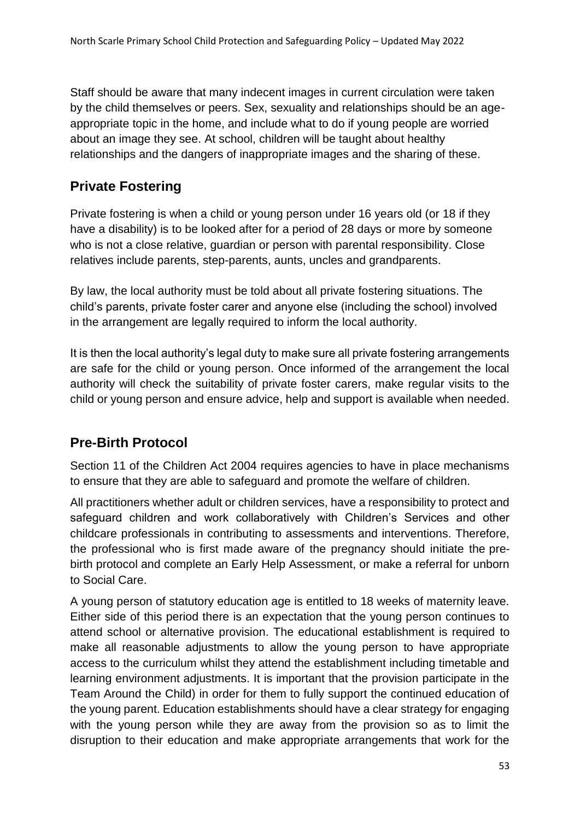Staff should be aware that many indecent images in current circulation were taken by the child themselves or peers. Sex, sexuality and relationships should be an ageappropriate topic in the home, and include what to do if young people are worried about an image they see. At school, children will be taught about healthy relationships and the dangers of inappropriate images and the sharing of these.

# **Private Fostering**

Private fostering is when a child or young person under 16 years old (or 18 if they have a disability) is to be looked after for a period of 28 days or more by someone who is not a close relative, guardian or person with parental responsibility. Close relatives include parents, step-parents, aunts, uncles and grandparents.

By law, the local authority must be told about all private fostering situations. The child's parents, private foster carer and anyone else (including the school) involved in the arrangement are legally required to inform the local authority.

It is then the local authority's legal duty to make sure all private fostering arrangements are safe for the child or young person. Once informed of the arrangement the local authority will check the suitability of private foster carers, make regular visits to the child or young person and ensure advice, help and support is available when needed.

# **Pre-Birth Protocol**

Section 11 of the Children Act 2004 requires agencies to have in place mechanisms to ensure that they are able to safeguard and promote the welfare of children.

All practitioners whether adult or children services, have a responsibility to protect and safeguard children and work collaboratively with Children's Services and other childcare professionals in contributing to assessments and interventions. Therefore, the professional who is first made aware of the pregnancy should initiate the prebirth protocol and complete an Early Help Assessment, or make a referral for unborn to Social Care.

A young person of statutory education age is entitled to 18 weeks of maternity leave. Either side of this period there is an expectation that the young person continues to attend school or alternative provision. The educational establishment is required to make all reasonable adjustments to allow the young person to have appropriate access to the curriculum whilst they attend the establishment including timetable and learning environment adjustments. It is important that the provision participate in the Team Around the Child) in order for them to fully support the continued education of the young parent. Education establishments should have a clear strategy for engaging with the young person while they are away from the provision so as to limit the disruption to their education and make appropriate arrangements that work for the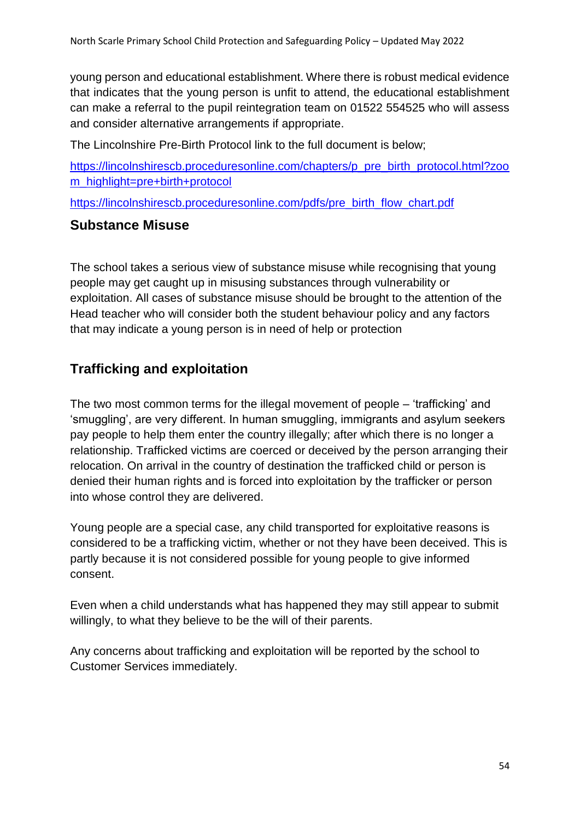young person and educational establishment. Where there is robust medical evidence that indicates that the young person is unfit to attend, the educational establishment can make a referral to the pupil reintegration team on 01522 554525 who will assess and consider alternative arrangements if appropriate.

The Lincolnshire Pre-Birth Protocol link to the full document is below;

[https://lincolnshirescb.proceduresonline.com/chapters/p\\_pre\\_birth\\_protocol.html?zoo](https://lincolnshirescb.proceduresonline.com/chapters/p_pre_birth_protocol.html?zoom_highlight=pre+birth+protocol) [m\\_highlight=pre+birth+protocol](https://lincolnshirescb.proceduresonline.com/chapters/p_pre_birth_protocol.html?zoom_highlight=pre+birth+protocol) 

[https://lincolnshirescb.proceduresonline.com/pdfs/pre\\_birth\\_flow\\_chart.pdf](https://lincolnshirescb.proceduresonline.com/pdfs/pre_birth_flow_chart.pdf)

### **Substance Misuse**

The school takes a serious view of substance misuse while recognising that young people may get caught up in misusing substances through vulnerability or exploitation. All cases of substance misuse should be brought to the attention of the Head teacher who will consider both the student behaviour policy and any factors that may indicate a young person is in need of help or protection

# **Trafficking and exploitation**

The two most common terms for the illegal movement of people – 'trafficking' and 'smuggling', are very different. In human smuggling, immigrants and asylum seekers pay people to help them enter the country illegally; after which there is no longer a relationship. Trafficked victims are coerced or deceived by the person arranging their relocation. On arrival in the country of destination the trafficked child or person is denied their human rights and is forced into exploitation by the trafficker or person into whose control they are delivered.

Young people are a special case, any child transported for exploitative reasons is considered to be a trafficking victim, whether or not they have been deceived. This is partly because it is not considered possible for young people to give informed consent.

Even when a child understands what has happened they may still appear to submit willingly, to what they believe to be the will of their parents.

Any concerns about trafficking and exploitation will be reported by the school to Customer Services immediately.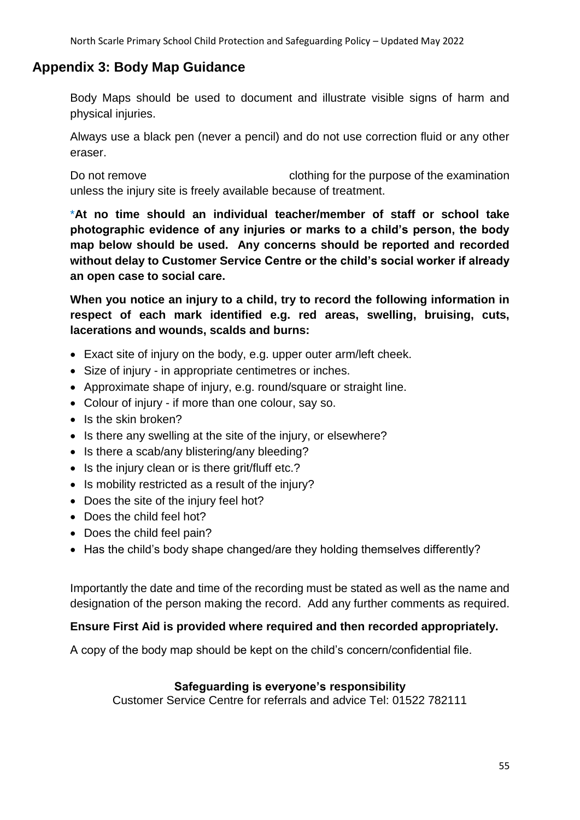### **Appendix 3: Body Map Guidance**

Body Maps should be used to document and illustrate visible signs of harm and physical injuries.

Always use a black pen (never a pencil) and do not use correction fluid or any other eraser.

Do not remove clothing for the purpose of the examination unless the injury site is freely available because of treatment.

\***At no time should an individual teacher/member of staff or school take photographic evidence of any injuries or marks to a child's person, the body map below should be used. Any concerns should be reported and recorded without delay to Customer Service Centre or the child's social worker if already an open case to social care.**

**When you notice an injury to a child, try to record the following information in respect of each mark identified e.g. red areas, swelling, bruising, cuts, lacerations and wounds, scalds and burns:**

- Exact site of injury on the body, e.g. upper outer arm/left cheek.
- Size of injury in appropriate centimetres or inches.
- Approximate shape of injury, e.g. round/square or straight line.
- Colour of injury if more than one colour, say so.
- Is the skin broken?
- Is there any swelling at the site of the injury, or elsewhere?
- Is there a scab/any blistering/any bleeding?
- Is the injury clean or is there grit/fluff etc.?
- Is mobility restricted as a result of the injury?
- Does the site of the injury feel hot?
- Does the child feel hot?
- Does the child feel pain?
- Has the child's body shape changed/are they holding themselves differently?

Importantly the date and time of the recording must be stated as well as the name and designation of the person making the record. Add any further comments as required.

#### **Ensure First Aid is provided where required and then recorded appropriately.**

A copy of the body map should be kept on the child's concern/confidential file.

#### **Safeguarding is everyone's responsibility**

Customer Service Centre for referrals and advice Tel: 01522 782111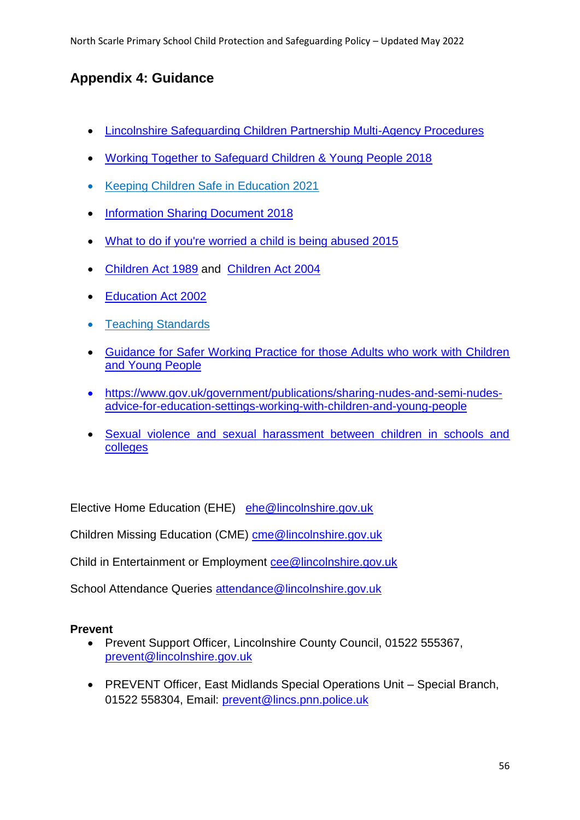# **Appendix 4: Guidance**

- [Lincolnshire Safeguarding Children Partnership Multi-Agency Procedures](http://lincolnshirescb.proceduresonline.com/)
- [Working Together to Safeguard Children & Young People 2018](https://www.gov.uk/government/publications/working-together-to-safeguard-children--2)
- [Keeping Children Safe in Education 2021](https://www.gov.uk/government/publications/keeping-children-safe-in-education--2)
- [Information Sharing Document](https://assets.publishing.service.gov.uk/government/uploads/system/uploads/attachment_data/file/721581/Information_sharing_advice_practitioners_safeguarding_services.pdf) 2018
- [What to do if you're worried a child is being abused 2015](https://assets.publishing.service.gov.uk/government/uploads/system/uploads/attachment_data/file/419604/What_to_do_if_you_re_worried_a_child_is_being_abused.pdf)
- Children Act 1989 and [Children Act 2004](https://www.legislation.gov.uk/ukpga/2004/31/contents)
- [Education Act 2002](https://www.legislation.gov.uk/ukpga/2002/32/section/175)
- [Teaching Standards](https://assets.publishing.service.gov.uk/government/uploads/system/uploads/attachment_data/file/665522/Teachers_standard_information.pdf)
- [Guidance for Safer Working Practice for those Adults who work with Children](https://c-cluster-110.uploads.documents.cimpress.io/v1/uploads/13ecce28-e8f2-49e9-83c6-c29337cd8071~110/original?tenant=vbu-digital)  [and Young People](https://c-cluster-110.uploads.documents.cimpress.io/v1/uploads/13ecce28-e8f2-49e9-83c6-c29337cd8071~110/original?tenant=vbu-digital)
- [https://www.gov.uk/government/publications/sharing-nudes-and-semi-nudes](https://www.gov.uk/government/publications/sharing-nudes-and-semi-nudes-advice-for-education-settings-working-with-children-and-young-people)[advice-for-education-settings-working-with-children-and-young-people](https://www.gov.uk/government/publications/sharing-nudes-and-semi-nudes-advice-for-education-settings-working-with-children-and-young-people)
- [Sexual violence and sexual harassment between children in schools and](https://www.gov.uk/government/publications/sexual-violence-and-sexual-harassment-between-children-in-schools-and-colleges)  [colleges](https://www.gov.uk/government/publications/sexual-violence-and-sexual-harassment-between-children-in-schools-and-colleges)

Elective Home Education (EHE) [ehe@lincolnshire.gov.uk](mailto:attendance.pupilsupport@kirklees.gov.uk)

Children Missing Education (CME) [cme@lincolnshire.gov.uk](mailto:cme@lincolnshire.gov.uk)

Child in Entertainment or Employment [cee@lincolnshire.gov.uk](mailto:cee@lincolnshire.gov.uk)

School Attendance Queries [attendance@lincolnshire.gov.uk](mailto:attendance@lincolnshire.gov.uk)

#### **Prevent**

- Prevent Support Officer, Lincolnshire County Council, 01522 555367, [prevent@lincolnshire.gov.uk](mailto:prevent@lincolnshire.gov.uk)
- PREVENT Officer, East Midlands Special Operations Unit Special Branch, 01522 558304, Email: [prevent@lincs.pnn.police.uk](mailto:prevent@lincs.pnn.police.uk)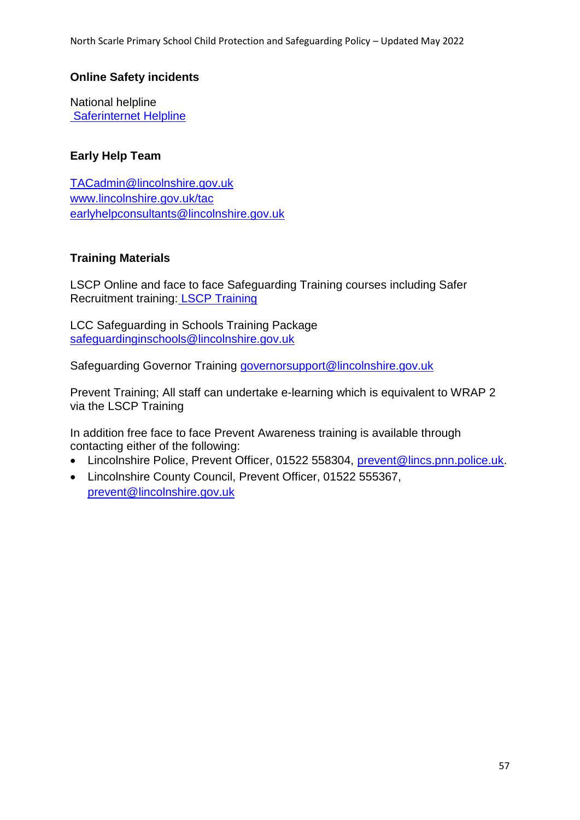### **Online Safety incidents**

National helpline [Saferinternet Helpline](https://www.saferinternet.org.uk/our-helplines) 

### **Early Help Team**

[TACadmin@lincolnshire.gov.uk](mailto:TACadmin@lincolnshire.gov.uk)  [www.lincolnshire.gov.uk/tac](http://www.lincolnshire.gov.uk/tac) [earlyhelpconsultants@lincolnshire.gov.uk](mailto:earlyhelpconsultants@lincolnshire.gov.uk)

### **Training Materials**

LSCP Online and face to face Safeguarding Training courses including Safer Recruitment training: [LSCP Training](https://www.lincolnshire.gov.uk/safeguarding/lscp/3?documentId=258&categoryId=20076)

LCC Safeguarding in Schools Training Package [safeguardinginschools@lincolnshire.gov.uk](mailto:safeguardinginschools@lincolnshire.gov.uk)

Safeguarding Governor Training [governorsupport@lincolnshire.gov.uk](mailto:governorsupport@lincolnshire.gov.uk)

Prevent Training; All staff can undertake e-learning which is equivalent to WRAP 2 via the LSCP Training

In addition free face to face Prevent Awareness training is available through contacting either of the following:

- Lincolnshire Police, Prevent Officer, 01522 558304, [prevent@lincs.pnn.police.uk.](mailto:prevent@lincs.pnn.police.uk)
- Lincolnshire County Council, Prevent Officer, 01522 555367, [prevent@lincolnshire.gov.uk](mailto:prevent@lincolnshire.gov.uk)